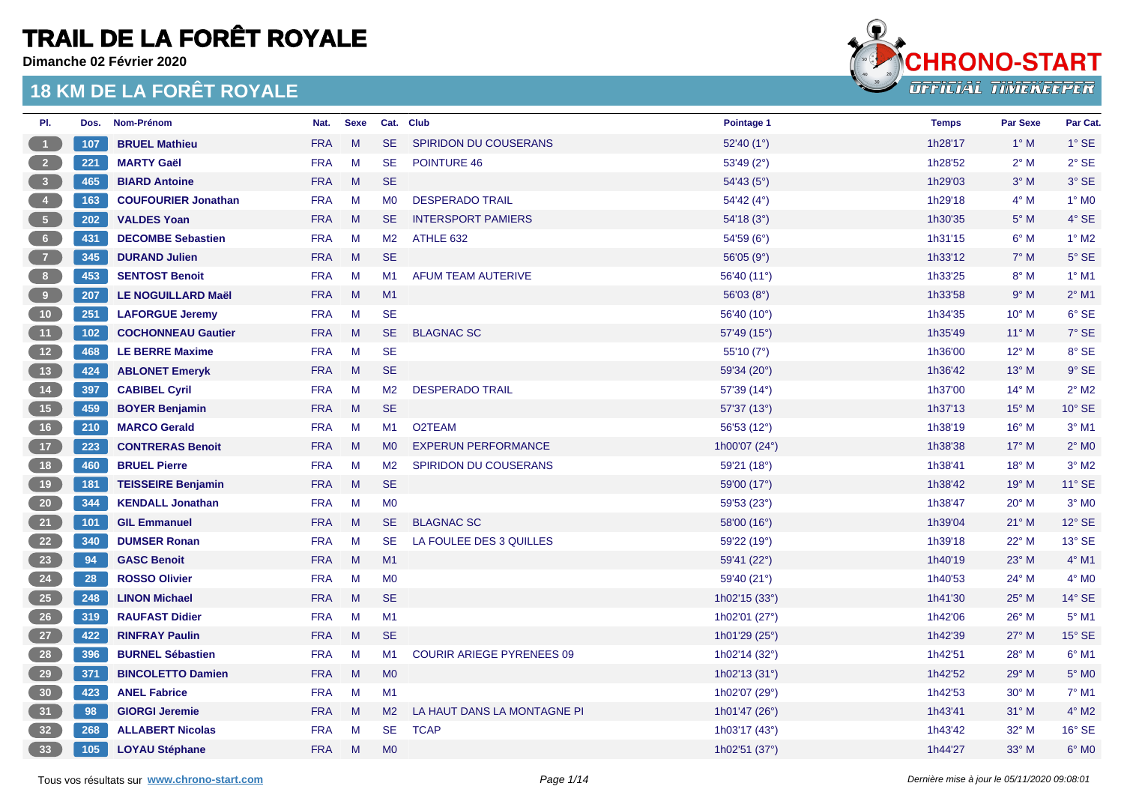**Dimanche 02 Février 2020**



| PI.                                             | Dos. | Nom-Prénom                 | Nat.       | <b>Sexe</b> |                | Cat. Club                        | Pointage 1          | <b>Temps</b> | <b>Par Sexe</b> | Par Cat.            |
|-------------------------------------------------|------|----------------------------|------------|-------------|----------------|----------------------------------|---------------------|--------------|-----------------|---------------------|
| $\blacksquare$ 1                                | 107  | <b>BRUEL Mathieu</b>       | <b>FRA</b> | M           | <b>SE</b>      | SPIRIDON DU COUSERANS            | 52'40 $(1^{\circ})$ | 1h28'17      | $1^\circ$ M     | $1^\circ$ SE        |
|                                                 | 221  | <b>MARTY Gaël</b>          | <b>FRA</b> | M           | <b>SE</b>      | POINTURE 46                      | 53'49 (2°)          | 1h28'52      | $2^{\circ}$ M   | $2°$ SE             |
| $\sqrt{3}$                                      | 465  | <b>BIARD Antoine</b>       | <b>FRA</b> | M           | <b>SE</b>      |                                  | 54'43(5°)           | 1h29'03      | $3^\circ$ M     | 3° SE               |
| $\begin{pmatrix} 4 \end{pmatrix}$               | 163  | <b>COUFOURIER Jonathan</b> | <b>FRA</b> | M           | MO             | <b>DESPERADO TRAIL</b>           | 54'42(4°)           | 1h29'18      | $4^\circ$ M     | $1^\circ$ MO        |
| 5 <sup>5</sup>                                  | 202  | <b>VALDES Yoan</b>         | <b>FRA</b> | M           | <b>SE</b>      | <b>INTERSPORT PAMIERS</b>        | 54'18(3°)           | 1h30'35      | $5^\circ$ M     | $4°$ SE             |
| 6 <sub>6</sub>                                  | 431  | <b>DECOMBE Sebastien</b>   | <b>FRA</b> | M           | M <sub>2</sub> | ATHLE 632                        | 54'59 (6°)          | 1h31'15      | $6^\circ$ M     | $1^\circ$ M2        |
| $\begin{array}{c} \begin{array}{c} \end{array}$ | 345  | <b>DURAND Julien</b>       | <b>FRA</b> | M           | <b>SE</b>      |                                  | 56'05 $(9°)$        | 1h33'12      | $7^\circ$ M     | $5^\circ$ SE        |
| $\overline{\mathbf{8}}$                         | 453  | <b>SENTOST Benoit</b>      | <b>FRA</b> | M           | M1             | <b>AFUM TEAM AUTERIVE</b>        | 56'40 (11°)         | 1h33'25      | $8^\circ$ M     | $1^\circ$ M1        |
| 9                                               | 207  | <b>LE NOGUILLARD Maël</b>  | <b>FRA</b> | M           | M1             |                                  | 56'03(8°)           | 1h33'58      | 9° M            | $2^{\circ}$ M1      |
| (10)                                            | 251  | <b>LAFORGUE Jeremy</b>     | <b>FRA</b> | M           | <b>SE</b>      |                                  | 56'40 (10°)         | 1h34'35      | $10^{\circ}$ M  | 6° SE               |
| (11)                                            | 102  | <b>COCHONNEAU Gautier</b>  | <b>FRA</b> | M           | <b>SE</b>      | <b>BLAGNAC SC</b>                | 57'49 (15°)         | 1h35'49      | $11^{\circ}$ M  | $7^\circ$ SE        |
| (12)                                            | 468  | <b>LE BERRE Maxime</b>     | <b>FRA</b> | M           | <b>SE</b>      |                                  | 55'10 (7°)          | 1h36'00      | $12^{\circ}$ M  | 8° SE               |
| 13                                              | 424  | <b>ABLONET Emeryk</b>      | <b>FRA</b> | M           | <b>SE</b>      |                                  | 59'34 (20°)         | 1h36'42      | $13^\circ$ M    | $9°$ SE             |
| (14)                                            | 397  | <b>CABIBEL Cyril</b>       | <b>FRA</b> | M           | M <sub>2</sub> | <b>DESPERADO TRAIL</b>           | 57'39 (14°)         | 1h37'00      | $14^{\circ}$ M  | $2^{\circ}$ M2      |
| $-15$                                           | 459  | <b>BOYER Benjamin</b>      | <b>FRA</b> | M           | <b>SE</b>      |                                  | 57'37 (13°)         | 1h37'13      | $15^{\circ}$ M  | 10° SE              |
| 16                                              | 210  | <b>MARCO Gerald</b>        | <b>FRA</b> | M           | M1             | O2TEAM                           | 56'53 (12°)         | 1h38'19      | $16^{\circ}$ M  | $3°$ M1             |
| (17)                                            | 223  | <b>CONTRERAS Benoit</b>    | <b>FRA</b> | M           | <b>MO</b>      | <b>EXPERUN PERFORMANCE</b>       | 1h00'07 (24°)       | 1h38'38      | $17^\circ$ M    | $2^{\circ}$ MO      |
| 18                                              | 460  | <b>BRUEL Pierre</b>        | <b>FRA</b> | M           | M <sub>2</sub> | <b>SPIRIDON DU COUSERANS</b>     | 59'21 $(18°)$       | 1h38'41      | $18^{\circ}$ M  | $3°$ M <sub>2</sub> |
| 19                                              | 181  | <b>TEISSEIRE Benjamin</b>  | <b>FRA</b> | M           | <b>SE</b>      |                                  | 59'00 (17°)         | 1h38'42      | 19° M           | $11^{\circ}$ SE     |
| 20                                              | 344  | <b>KENDALL Jonathan</b>    | <b>FRA</b> | M           | M <sub>0</sub> |                                  | 59'53 (23°)         | 1h38'47      | $20^{\circ}$ M  | $3°$ MO             |
| 21                                              | 101  | <b>GIL Emmanuel</b>        | <b>FRA</b> | M           | <b>SE</b>      | <b>BLAGNAC SC</b>                | 58'00 (16°)         | 1h39'04      | $21^{\circ}$ M  | $12^\circ$ SE       |
| 22                                              | 340  | <b>DUMSER Ronan</b>        | <b>FRA</b> | M           | <b>SE</b>      | LA FOULEE DES 3 QUILLES          | 59'22 (19°)         | 1h39'18      | 22° M           | 13° SE              |
| 23                                              | 94   | <b>GASC Benoit</b>         | <b>FRA</b> | M           | M1             |                                  | 59'41 (22°)         | 1h40'19      | $23^\circ$ M    | $4°$ M1             |
| 24                                              | 28   | <b>ROSSO Olivier</b>       | <b>FRA</b> | M           | M <sub>0</sub> |                                  | 59'40 (21°)         | 1h40'53      | $24^{\circ}$ M  | $4^\circ$ MO        |
| 25                                              | 248  | <b>LINON Michael</b>       | <b>FRA</b> | M           | <b>SE</b>      |                                  | 1h02'15 (33°)       | 1h41'30      | 25° M           | 14° SE              |
| 26                                              | 319  | <b>RAUFAST Didier</b>      | <b>FRA</b> | M           | M1             |                                  | 1h02'01 (27°)       | 1h42'06      | $26^{\circ}$ M  | 5° M1               |
| 27                                              | 422  | <b>RINFRAY Paulin</b>      | <b>FRA</b> | M           | <b>SE</b>      |                                  | 1h01'29 (25°)       | 1h42'39      | $27^\circ$ M    | $15^\circ$ SE       |
| 28                                              | 396  | <b>BURNEL Sébastien</b>    | <b>FRA</b> | M           | M1             | <b>COURIR ARIEGE PYRENEES 09</b> | 1h02'14 (32°)       | 1h42'51      | 28° M           | $6°$ M1             |
| 29                                              | 371  | <b>BINCOLETTO Damien</b>   | <b>FRA</b> | M           | M <sub>0</sub> |                                  | 1h02'13 (31°)       | 1h42'52      | 29° M           | $5^\circ$ MO        |
| 30                                              | 423  | <b>ANEL Fabrice</b>        | <b>FRA</b> | M           | M1             |                                  | 1h02'07 (29°)       | 1h42'53      | $30^\circ$ M    | $7°$ M1             |
| 31                                              | 98   | <b>GIORGI Jeremie</b>      | <b>FRA</b> | M           | M <sub>2</sub> | LA HAUT DANS LA MONTAGNE PI      | 1h01'47 (26°)       | 1h43'41      | $31^\circ$ M    | $4^\circ$ M2        |
| 32                                              | 268  | <b>ALLABERT Nicolas</b>    | <b>FRA</b> | M           | <b>SE</b>      | <b>TCAP</b>                      | 1h03'17 (43°)       | 1h43'42      | $32^{\circ}$ M  | 16° SE              |
| 33                                              | 105  | <b>LOYAU Stéphane</b>      | <b>FRA</b> | M           | M <sub>0</sub> |                                  | 1h02'51 (37°)       | 1h44'27      | $33^\circ$ M    | $6^{\circ}$ MO      |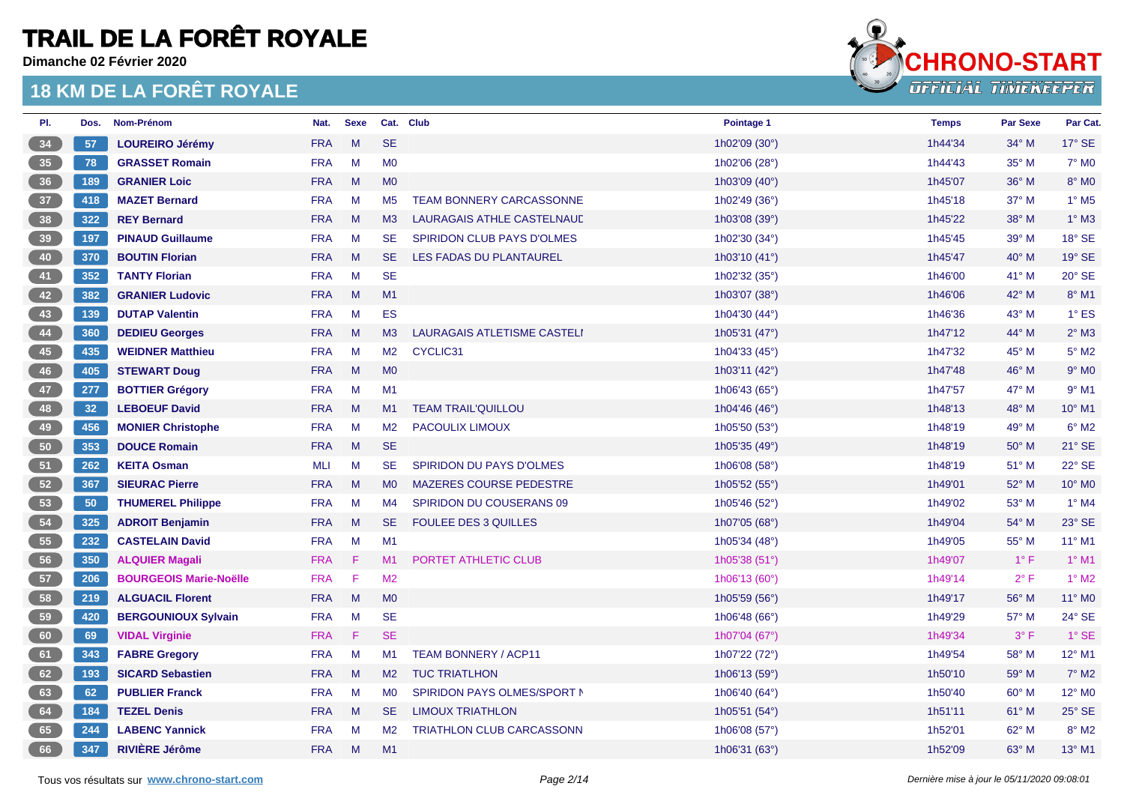**Dimanche 02 Février 2020**



| PI.             | Dos. | Nom-Prénom                    | Nat.       | <b>Sexe</b> |                | Cat. Club                         | Pointage 1    | <b>Temps</b> | <b>Par Sexe</b> | Par Cat.                 |
|-----------------|------|-------------------------------|------------|-------------|----------------|-----------------------------------|---------------|--------------|-----------------|--------------------------|
| 34              | 57   | <b>LOUREIRO Jérémy</b>        | <b>FRA</b> | M           | <b>SE</b>      |                                   | 1h02'09 (30°) | 1h44'34      | 34° M           | 17° SE                   |
| 35 <sup>°</sup> | 78   | <b>GRASSET Romain</b>         | <b>FRA</b> | M           | M <sub>0</sub> |                                   | 1h02'06 (28°) | 1h44'43      | 35° M           | 7° M <sub>0</sub>        |
| 36              | 189  | <b>GRANIER Loic</b>           | <b>FRA</b> | M           | M <sub>0</sub> |                                   | 1h03'09 (40°) | 1h45'07      | 36° M           | $8^\circ$ MO             |
| 37              | 418  | <b>MAZET Bernard</b>          | <b>FRA</b> | M           | M <sub>5</sub> | <b>TEAM BONNERY CARCASSONNE</b>   | 1h02'49 (36°) | 1h45'18      | 37° M           | $1^\circ$ M <sub>5</sub> |
| 38              | 322  | <b>REY Bernard</b>            | <b>FRA</b> | M           | M3             | LAURAGAIS ATHLE CASTELNAUD        | 1h03'08 (39°) | 1h45'22      | 38° M           | $1^\circ$ M3             |
| 39              | 197  | <b>PINAUD Guillaume</b>       | <b>FRA</b> | M           | <b>SE</b>      | <b>SPIRIDON CLUB PAYS D'OLMES</b> | 1h02'30 (34°) | 1h45'45      | 39° M           | 18° SE                   |
| 40              | 370  | <b>BOUTIN Florian</b>         | <b>FRA</b> | M           | <b>SE</b>      | LES FADAS DU PLANTAUREL           | 1h03'10 (41°) | 1h45'47      | 40° M           | 19° SE                   |
| 41              | 352  | <b>TANTY Florian</b>          | <b>FRA</b> | M           | <b>SE</b>      |                                   | 1h02'32 (35°) | 1h46'00      | $41^{\circ}$ M  | 20° SE                   |
| 42              | 382  | <b>GRANIER Ludovic</b>        | <b>FRA</b> | M           | M1             |                                   | 1h03'07 (38°) | 1h46'06      | 42° M           | 8° M1                    |
| 43              | 139  | <b>DUTAP Valentin</b>         | <b>FRA</b> | M           | <b>ES</b>      |                                   | 1h04'30 (44°) | 1h46'36      | 43° M           | $1^\circ$ ES             |
| 44              | 360  | <b>DEDIEU Georges</b>         | <b>FRA</b> | M           | M3             | LAURAGAIS ATLETISME CASTELI       | 1h05'31 (47°) | 1h47'12      | 44° M           | $2^{\circ}$ M3           |
| 45              | 435  | <b>WEIDNER Matthieu</b>       | <b>FRA</b> | M           | M <sub>2</sub> | CYCLIC31                          | 1h04'33 (45°) | 1h47'32      | 45° M           | $5^{\circ}$ M2           |
| 46              | 405  | <b>STEWART Doug</b>           | <b>FRA</b> | M           | <b>MO</b>      |                                   | 1h03'11 (42°) | 1h47'48      | 46° M           | $9°$ MO                  |
| 47              | 277  | <b>BOTTIER Grégory</b>        | <b>FRA</b> | M           | M1             |                                   | 1h06'43 (65°) | 1h47'57      | 47° M           | $9°$ M1                  |
| 48              | 32   | <b>LEBOEUF David</b>          | <b>FRA</b> | M           | M1             | <b>TEAM TRAIL'QUILLOU</b>         | 1h04'46 (46°) | 1h48'13      | $48^\circ$ M    | $10^{\circ}$ M1          |
| 49              | 456  | <b>MONIER Christophe</b>      | <b>FRA</b> | M           | M <sub>2</sub> | PACOULIX LIMOUX                   | 1h05'50 (53°) | 1h48'19      | 49° M           | $6°$ M <sub>2</sub>      |
| 50 <sub>1</sub> | 353  | <b>DOUCE Romain</b>           | <b>FRA</b> | M           | <b>SE</b>      |                                   | 1h05'35 (49°) | 1h48'19      | 50° M           | 21° SE                   |
| 51              | 262  | <b>KEITA Osman</b>            | <b>MLI</b> | M           | <b>SE</b>      | <b>SPIRIDON DU PAYS D'OLMES</b>   | 1h06'08 (58°) | 1h48'19      | $51^\circ$ M    | 22° SE                   |
| 52              | 367  | <b>SIEURAC Pierre</b>         | <b>FRA</b> | M           | M <sub>0</sub> | <b>MAZERES COURSE PEDESTRE</b>    | 1h05'52 (55°) | 1h49'01      | 52° M           | 10° M0                   |
| 53              | 50   | <b>THUMEREL Philippe</b>      | <b>FRA</b> | M           | M <sub>4</sub> | SPIRIDON DU COUSERANS 09          | 1h05'46 (52°) | 1h49'02      | 53° M           | $1^\circ$ M4             |
| 54              | 325  | <b>ADROIT Benjamin</b>        | <b>FRA</b> | M           | <b>SE</b>      | <b>FOULEE DES 3 QUILLES</b>       | 1h07'05 (68°) | 1h49'04      | 54° M           | 23° SE                   |
| 55              | 232  | <b>CASTELAIN David</b>        | <b>FRA</b> | M           | M1             |                                   | 1h05'34 (48°) | 1h49'05      | 55° M           | 11° M1                   |
| 56              | 350  | <b>ALQUIER Magali</b>         | <b>FRA</b> | F           | M1             | PORTET ATHLETIC CLUB              | 1h05'38 (51°) | 1h49'07      | $1^{\circ}$ F   | $1^\circ$ M1             |
| 57              | 206  | <b>BOURGEOIS Marie-Noëlle</b> | <b>FRA</b> | -F          | M <sub>2</sub> |                                   | 1h06'13 (60°) | 1h49'14      | $2^{\circ}$ F   | $1^\circ$ M2             |
| 58              | 219  | <b>ALGUACIL Florent</b>       | <b>FRA</b> | M           | M <sub>0</sub> |                                   | 1h05'59 (56°) | 1h49'17      | $56^{\circ}$ M  | 11° MO                   |
| 59              | 420  | <b>BERGOUNIOUX Sylvain</b>    | <b>FRA</b> | M           | <b>SE</b>      |                                   | 1h06'48 (66°) | 1h49'29      | 57° M           | 24° SE                   |
| 60              | 69   | <b>VIDAL Virginie</b>         | <b>FRA</b> | F           | <b>SE</b>      |                                   | 1h07'04 (67°) | 1h49'34      | $3^{\circ}$ F   | $1^\circ$ SE             |
| 61              | 343  | <b>FABRE Gregory</b>          | <b>FRA</b> | M           | M1             | <b>TEAM BONNERY / ACP11</b>       | 1h07'22 (72°) | 1h49'54      | 58° M           | 12° M1                   |
| 62              | 193  | <b>SICARD Sebastien</b>       | <b>FRA</b> | M           | M <sub>2</sub> | <b>TUC TRIATLHON</b>              | 1h06'13 (59°) | 1h50'10      | 59° M           | $7^\circ$ M2             |
| 63              | 62   | <b>PUBLIER Franck</b>         | <b>FRA</b> | M           | M <sub>0</sub> | SPIRIDON PAYS OLMES/SPORT N       | 1h06'40 (64°) | 1h50'40      | 60° M           | 12° MO                   |
| 64              | 184  | <b>TEZEL Denis</b>            | <b>FRA</b> | M           | <b>SE</b>      | <b>LIMOUX TRIATHLON</b>           | 1h05'51 (54°) | 1h51'11      | $61^\circ$ M    | $25^\circ$ SE            |
| 65              | 244  | <b>LABENC Yannick</b>         | <b>FRA</b> | M           | M <sub>2</sub> | TRIATHLON CLUB CARCASSONN         | 1h06'08 (57°) | 1h52'01      | $62^{\circ}$ M  | $8^\circ$ M2             |
| 66              | 347  | <b>RIVIÈRE Jérôme</b>         | <b>FRA</b> | M           | M1             |                                   | 1h06'31 (63°) | 1h52'09      | 63° M           | 13° M1                   |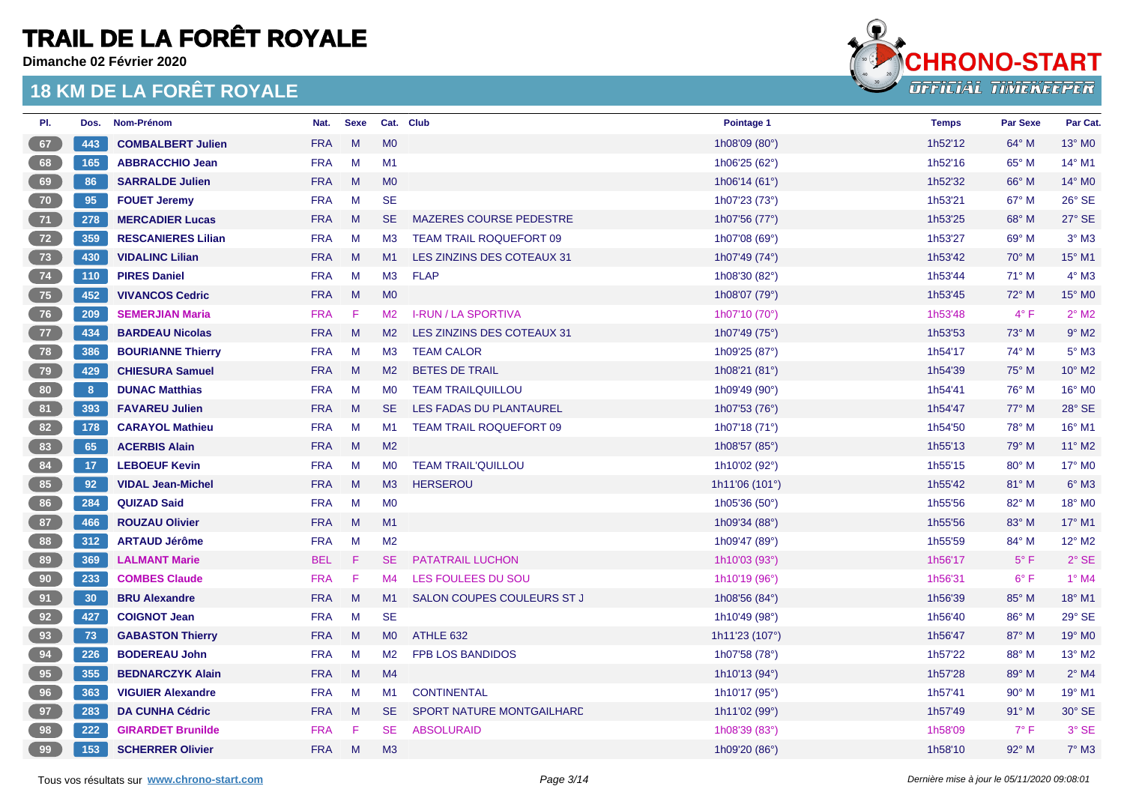**Dimanche 02 Février 2020**



| PI. | Dos. | Nom-Prénom                | Nat.       | <b>Sexe</b> | Cat. Club      |                                | Pointage 1             | <b>Temps</b> | <b>Par Sexe</b> | Par Cat.            |
|-----|------|---------------------------|------------|-------------|----------------|--------------------------------|------------------------|--------------|-----------------|---------------------|
| 67  | 443  | <b>COMBALBERT Julien</b>  | <b>FRA</b> | M           | MO             |                                | 1h08'09 (80°)          | 1h52'12      | 64° M           | 13° MO              |
| 68  | 165  | <b>ABBRACCHIO Jean</b>    | <b>FRA</b> | M           | M1             |                                | 1h06'25 (62°)          | 1h52'16      | 65° M           | $14^{\circ}$ M1     |
| 69  | 86   | <b>SARRALDE Julien</b>    | <b>FRA</b> | M           | <b>MO</b>      |                                | 1h06'14 (61°)          | 1h52'32      | 66° M           | 14° M0              |
| 70  | 95   | <b>FOUET Jeremy</b>       | <b>FRA</b> | M           | <b>SE</b>      |                                | 1h07'23 (73°)          | 1h53'21      | $67^\circ$ M    | 26° SE              |
| 71  | 278  | <b>MERCADIER Lucas</b>    | <b>FRA</b> | M           | SE.            | <b>MAZERES COURSE PEDESTRE</b> | 1h07'56 (77°)          | 1h53'25      | 68° M           | 27° SE              |
| 72  | 359  | <b>RESCANIERES Lilian</b> | <b>FRA</b> | M           | M3             | <b>TEAM TRAIL ROQUEFORT 09</b> | 1h07'08 (69°)          | 1h53'27      | 69° M           | $3°$ M <sub>3</sub> |
| 73  | 430  | <b>VIDALINC Lilian</b>    | <b>FRA</b> | M           | M1             | LES ZINZINS DES COTEAUX 31     | 1h07'49 (74°)          | 1h53'42      | 70° M           | 15° M1              |
| 74  | 110  | <b>PIRES Daniel</b>       | <b>FRA</b> | M           | M3             | <b>FLAP</b>                    | 1h08'30 (82°)          | 1h53'44      | $71^\circ$ M    | $4^\circ$ M3        |
| 75  | 452  | <b>VIVANCOS Cedric</b>    | <b>FRA</b> | M           | M <sub>0</sub> |                                | 1h08'07 (79°)          | 1h53'45      | 72° M           | 15° M0              |
| 76  | 209  | <b>SEMERJIAN Maria</b>    | <b>FRA</b> | -F          | M2             | <b>I-RUN / LA SPORTIVA</b>     | 1h07'10 (70°)          | 1h53'48      | $4^{\circ}$ F   | $2^{\circ}$ M2      |
| 77  | 434  | <b>BARDEAU Nicolas</b>    | <b>FRA</b> | M           | M <sub>2</sub> | LES ZINZINS DES COTEAUX 31     | 1h07'49 (75°)          | 1h53'53      | 73° M           | $9°$ M <sub>2</sub> |
| 78  | 386  | <b>BOURIANNE Thierry</b>  | <b>FRA</b> | M           | M3             | <b>TEAM CALOR</b>              | 1h09'25 (87°)          | 1h54'17      | 74° M           | $5^\circ$ M3        |
| 79  | 429  | <b>CHIESURA Samuel</b>    | <b>FRA</b> | M           | M <sub>2</sub> | <b>BETES DE TRAIL</b>          | 1h08'21 (81°)          | 1h54'39      | 75° M           | 10° M2              |
| 80  | 8    | <b>DUNAC Matthias</b>     | <b>FRA</b> | M           | <b>MO</b>      | <b>TEAM TRAILQUILLOU</b>       | 1h09'49 (90°)          | 1h54'41      | 76° M           | 16° M0              |
| 81  | 393  | <b>FAVAREU Julien</b>     | <b>FRA</b> | M           | SE.            | LES FADAS DU PLANTAUREL        | 1h07'53 (76°)          | 1h54'47      | $77^\circ$ M    | 28° SE              |
| 82  | 178  | <b>CARAYOL Mathieu</b>    | <b>FRA</b> | M           | M1             | <b>TEAM TRAIL ROQUEFORT 09</b> | 1h07'18 $(71°)$        | 1h54'50      | 78° M           | 16° M1              |
| 83  | 65   | <b>ACERBIS Alain</b>      | <b>FRA</b> | M           | M2             |                                | 1h08'57 (85°)          | 1h55'13      | 79° M           | 11° M2              |
| 84  | 17   | <b>LEBOEUF Kevin</b>      | <b>FRA</b> | M           | M <sub>0</sub> | <b>TEAM TRAIL'QUILLOU</b>      | 1h10'02 (92°)          | 1h55'15      | 80° M           | 17° M0              |
| 85  | 92   | <b>VIDAL Jean-Michel</b>  | <b>FRA</b> | M           | M3             | <b>HERSEROU</b>                | 1h11'06 (101°)         | 1h55'42      | 81° M           | $6°$ M3             |
| 86  | 284  | <b>QUIZAD Said</b>        | <b>FRA</b> | M           | <b>MO</b>      |                                | 1h05'36 $(50^{\circ})$ | 1h55'56      | 82° M           | 18° MO              |
| 87  | 466  | <b>ROUZAU Olivier</b>     | <b>FRA</b> | M           | M1             |                                | 1h09'34 (88°)          | 1h55'56      | 83° M           | 17° M1              |
| 88  | 312  | <b>ARTAUD Jérôme</b>      | <b>FRA</b> | M           | M <sub>2</sub> |                                | 1h09'47 (89°)          | 1h55'59      | 84° M           | $12^{\circ}$ M2     |
| 89  | 369  | <b>LALMANT Marie</b>      | <b>BEL</b> | Æ           | SE.            | PATATRAIL LUCHON               | 1h10'03 (93°)          | 1h56'17      | $5^{\circ}$ F   | $2°$ SE             |
| 90  | 233  | <b>COMBES Claude</b>      | <b>FRA</b> | - F         | M4             | LES FOULEES DU SOU             | 1h10'19 (96°)          | 1h56'31      | $6^{\circ}$ F   | $1°$ M4             |
| 91  | 30   | <b>BRU Alexandre</b>      | <b>FRA</b> | M           | M1             | SALON COUPES COULEURS ST J     | 1h08'56 (84°)          | 1h56'39      | 85° M           | 18° M1              |
| 92  | 427  | <b>COIGNOT Jean</b>       | <b>FRA</b> | M           | <b>SE</b>      |                                | 1h10'49 (98°)          | 1h56'40      | 86° M           | 29° SE              |
| 93  | 73   | <b>GABASTON Thierry</b>   | <b>FRA</b> | M           | MO             | ATHLE 632                      | 1h11'23 (107°)         | 1h56'47      | $87^\circ$ M    | 19° M0              |
| 94  | 226  | <b>BODEREAU John</b>      | <b>FRA</b> | M           | M <sub>2</sub> | <b>FPB LOS BANDIDOS</b>        | 1h07'58 (78°)          | 1h57'22      | 88° M           | 13° M2              |
| 95  | 355  | <b>BEDNARCZYK Alain</b>   | <b>FRA</b> | M           | M4             |                                | 1h10'13 (94°)          | 1h57'28      | 89° M           | $2^{\circ}$ M4      |
| 96  | 363  | <b>VIGUIER Alexandre</b>  | <b>FRA</b> | M           | M1             | <b>CONTINENTAL</b>             | 1h10'17 (95°)          | 1h57'41      | $90^\circ$ M    | 19° M1              |
| 97  | 283  | <b>DA CUNHA Cédric</b>    | <b>FRA</b> | M           | SE.            | SPORT NATURE MONTGAILHARD      | 1h11'02 (99°)          | 1h57'49      | $91^\circ$ M    | 30° SE              |
| 98  | 222  | <b>GIRARDET Brunilde</b>  | <b>FRA</b> | F           | <b>SE</b>      | <b>ABSOLURAID</b>              | 1h08'39 (83°)          | 1h58'09      | $7^{\circ}$ F   | 3° SE               |
| 99  | 153  | <b>SCHERRER Olivier</b>   | <b>FRA</b> | M           | M3             |                                | 1h09'20 (86°)          | 1h58'10      | 92° M           | $7°$ M3             |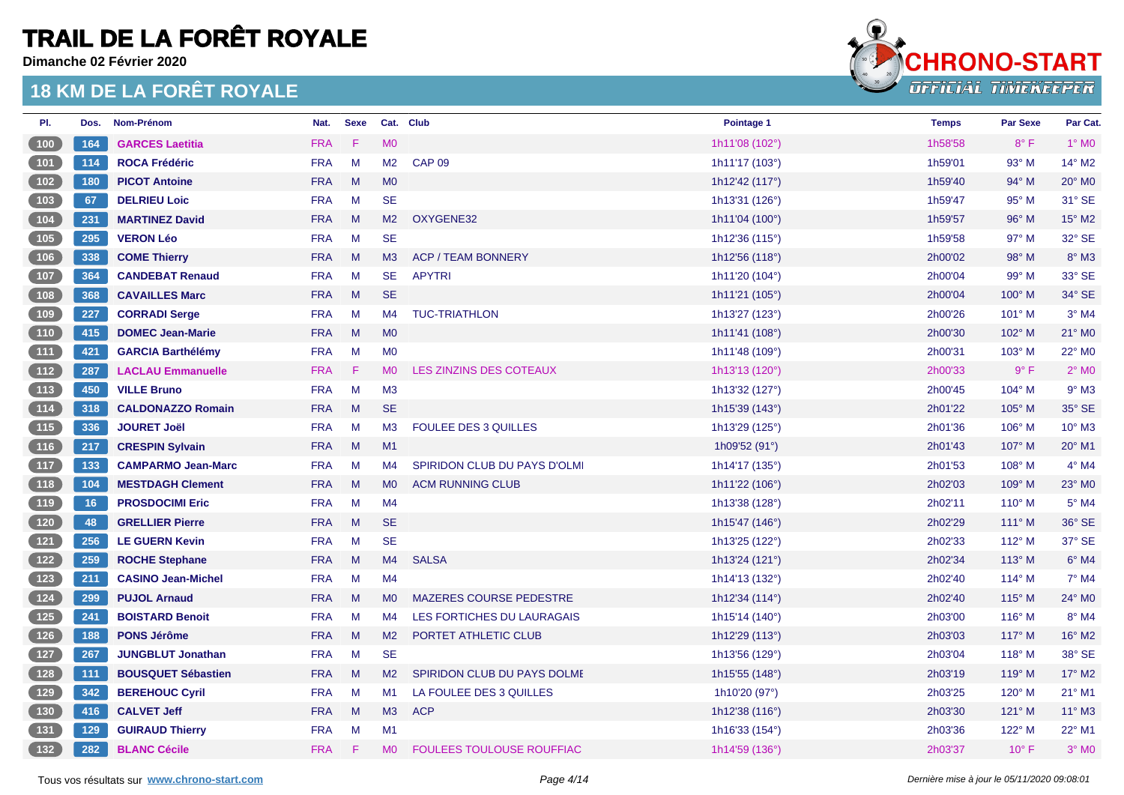**Dimanche 02 Février 2020**



| PI.                                        | Dos. | Nom-Prénom                | Nat.       | <b>Sexe</b> |                | Cat. Club                        | Pointage 1              | <b>Temps</b> | <b>Par Sexe</b> | Par Cat.        |
|--------------------------------------------|------|---------------------------|------------|-------------|----------------|----------------------------------|-------------------------|--------------|-----------------|-----------------|
| (100)                                      | 164  | <b>GARCES Laetitia</b>    | <b>FRA</b> | F           | <b>MO</b>      |                                  | 1h11'08 (102°)          | 1h58'58      | $8^{\circ}$ F   | $1°$ MO         |
| (101)                                      | 114  | <b>ROCA Frédéric</b>      | <b>FRA</b> | M           | M <sub>2</sub> | <b>CAP 09</b>                    | 1h11'17 (103°)          | 1h59'01      | 93° M           | 14° M2          |
| (102)                                      | 180  | <b>PICOT Antoine</b>      | <b>FRA</b> | M           | M <sub>0</sub> |                                  | 1h12'42 (117°)          | 1h59'40      | 94° M           | 20° M0          |
| (103)                                      | 67   | <b>DELRIEU Loic</b>       | <b>FRA</b> | M           | <b>SE</b>      |                                  | 1h13'31 (126°)          | 1h59'47      | 95° M           | 31° SE          |
| (104)                                      | 231  | <b>MARTINEZ David</b>     | <b>FRA</b> | M           | M2             | OXYGENE32                        | 1h11'04 $(100^{\circ})$ | 1h59'57      | 96° M           | 15° M2          |
| (105)                                      | 295  | <b>VERON Léo</b>          | <b>FRA</b> | M           | <b>SE</b>      |                                  | 1h12'36 (115°)          | 1h59'58      | $97^\circ$ M    | 32° SE          |
| (106)                                      | 338  | <b>COME Thierry</b>       | <b>FRA</b> | M           | M3             | <b>ACP / TEAM BONNERY</b>        | 1h12'56 (118°)          | 2h00'02      | 98° M           | $8^\circ$ M3    |
| 107                                        | 364  | <b>CANDEBAT Renaud</b>    | <b>FRA</b> | M           | <b>SE</b>      | <b>APYTRI</b>                    | 1h11'20 (104°)          | 2h00'04      | 99° M           | 33° SE          |
| (108)                                      | 368  | <b>CAVAILLES Marc</b>     | <b>FRA</b> | M           | <b>SE</b>      |                                  | 1h11'21 (105°)          | 2h00'04      | $100^\circ$ M   | 34° SE          |
| (109)                                      | 227  | <b>CORRADI Serge</b>      | <b>FRA</b> | M           | M4             | <b>TUC-TRIATHLON</b>             | 1h13'27 (123°)          | 2h00'26      | 101° M          | $3°$ M4         |
| (110)                                      | 415  | <b>DOMEC Jean-Marie</b>   | <b>FRA</b> | M           | M <sub>0</sub> |                                  | 1h11'41 (108°)          | 2h00'30      | 102° M          | 21° M0          |
| (111)                                      | 421  | <b>GARCIA Barthélémy</b>  | <b>FRA</b> | M           | <b>MO</b>      |                                  | 1h11'48 (109°)          | 2h00'31      | 103° M          | 22° M0          |
| (112)                                      | 287  | <b>LACLAU Emmanuelle</b>  | <b>FRA</b> | -F          | M <sub>0</sub> | LES ZINZINS DES COTEAUX          | 1h13'13 (120°)          | 2h00'33      | $9^\circ$ F     | $2°$ MO         |
| (113)                                      | 450  | <b>VILLE Bruno</b>        | <b>FRA</b> | M           | M3             |                                  | 1h13'32 (127°)          | 2h00'45      | $104^\circ$ M   | $9°$ M3         |
| (114)                                      | 318  | <b>CALDONAZZO Romain</b>  | <b>FRA</b> | M           | <b>SE</b>      |                                  | 1h15'39 (143°)          | 2h01'22      | 105° M          | 35° SE          |
| $\boxed{115}$                              | 336  | <b>JOURET Joël</b>        | <b>FRA</b> | M           | M3             | FOULEE DES 3 QUILLES             | 1h13'29 (125°)          | 2h01'36      | 106° M          | 10° M3          |
| (116)                                      | 217  | <b>CRESPIN Sylvain</b>    | <b>FRA</b> | M           | M1             |                                  | 1h09'52 (91°)           | 2h01'43      | 107° M          | 20° M1          |
| (117)                                      | 133  | <b>CAMPARMO Jean-Marc</b> | <b>FRA</b> | M           | M4             | SPIRIDON CLUB DU PAYS D'OLMI     | 1h14'17 (135°)          | 2h01'53      | $108^\circ$ M   | $4^\circ$ M4    |
| (118)                                      | 104  | <b>MESTDAGH Clement</b>   | <b>FRA</b> | M           | <b>MO</b>      | <b>ACM RUNNING CLUB</b>          | 1h11'22 $(106^{\circ})$ | 2h02'03      | $109^\circ$ M   | 23° M0          |
| (119)                                      | 16   | <b>PROSDOCIMI Eric</b>    | <b>FRA</b> | M           | M4             |                                  | 1h13'38 (128°)          | 2h02'11      | $110^\circ$ M   | $5^\circ$ M4    |
| (120)                                      | 48   | <b>GRELLIER Pierre</b>    | <b>FRA</b> | M           | <b>SE</b>      |                                  | 1h15'47 (146°)          | 2h02'29      | $111^\circ$ M   | 36° SE          |
| (121)                                      | 256  | <b>LE GUERN Kevin</b>     | <b>FRA</b> | M           | <b>SE</b>      |                                  | 1h13'25 (122°)          | 2h02'33      | $112^{\circ}$ M | 37° SE          |
| (122)                                      | 259  | <b>ROCHE Stephane</b>     | <b>FRA</b> | M           | M4             | <b>SALSA</b>                     | 1h13'24 $(121°)$        | 2h02'34      | $113^\circ$ M   | $6°$ M4         |
| (123)                                      | 211  | <b>CASINO Jean-Michel</b> | <b>FRA</b> | M           | M4             |                                  | 1h14'13 (132°)          | 2h02'40      | $114^{\circ}$ M | $7^\circ$ M4    |
| (124)                                      | 299  | <b>PUJOL Arnaud</b>       | <b>FRA</b> | M           | <b>MO</b>      | MAZERES COURSE PEDESTRE          | 1h12'34 (114°)          | 2h02'40      | $115^\circ$ M   | 24° M0          |
| $\begin{array}{c} \boxed{125} \end{array}$ | 241  | <b>BOISTARD Benoit</b>    | <b>FRA</b> | M           | M4             | LES FORTICHES DU LAURAGAIS       | 1h15'14 $(140^{\circ})$ | 2h03'00      | $116^\circ$ M   | 8° M4           |
| (126)                                      | 188  | <b>PONS Jérôme</b>        | <b>FRA</b> | M           | M <sub>2</sub> | PORTET ATHLETIC CLUB             | 1h12'29 (113°)          | 2h03'03      | $117^\circ$ M   | 16° M2          |
| (127)                                      | 267  | <b>JUNGBLUT Jonathan</b>  | <b>FRA</b> | M           | <b>SE</b>      |                                  | 1h13'56 (129°)          | 2h03'04      | $118^\circ$ M   | 38° SE          |
| (128)                                      | 111  | <b>BOUSQUET Sébastien</b> | <b>FRA</b> | M           | M <sub>2</sub> | SPIRIDON CLUB DU PAYS DOLME      | 1h15'55 (148°)          | 2h03'19      | 119° M          | 17° M2          |
| (129)                                      | 342  | <b>BEREHOUC Cyril</b>     | <b>FRA</b> | M           | M1             | LA FOULEE DES 3 QUILLES          | 1h10'20 (97°)           | 2h03'25      | 120° M          | 21° M1          |
| (130)                                      | 416  | <b>CALVET Jeff</b>        | <b>FRA</b> | M           | M3             | <b>ACP</b>                       | 1h12'38 (116°)          | 2h03'30      | 121° M          | $11^{\circ}$ M3 |
| $\begin{array}{c} \boxed{131} \end{array}$ | 129  | <b>GUIRAUD Thierry</b>    | <b>FRA</b> | M           | M1             |                                  | 1h16'33 (154°)          | 2h03'36      | 122° M          | 22° M1          |
| (132)                                      | 282  | <b>BLANC Cécile</b>       | <b>FRA</b> | - F         | <b>MO</b>      | <b>FOULEES TOULOUSE ROUFFIAC</b> | 1h14'59 (136°)          | 2h03'37      | $10^{\circ}$ F  | $3°$ MO         |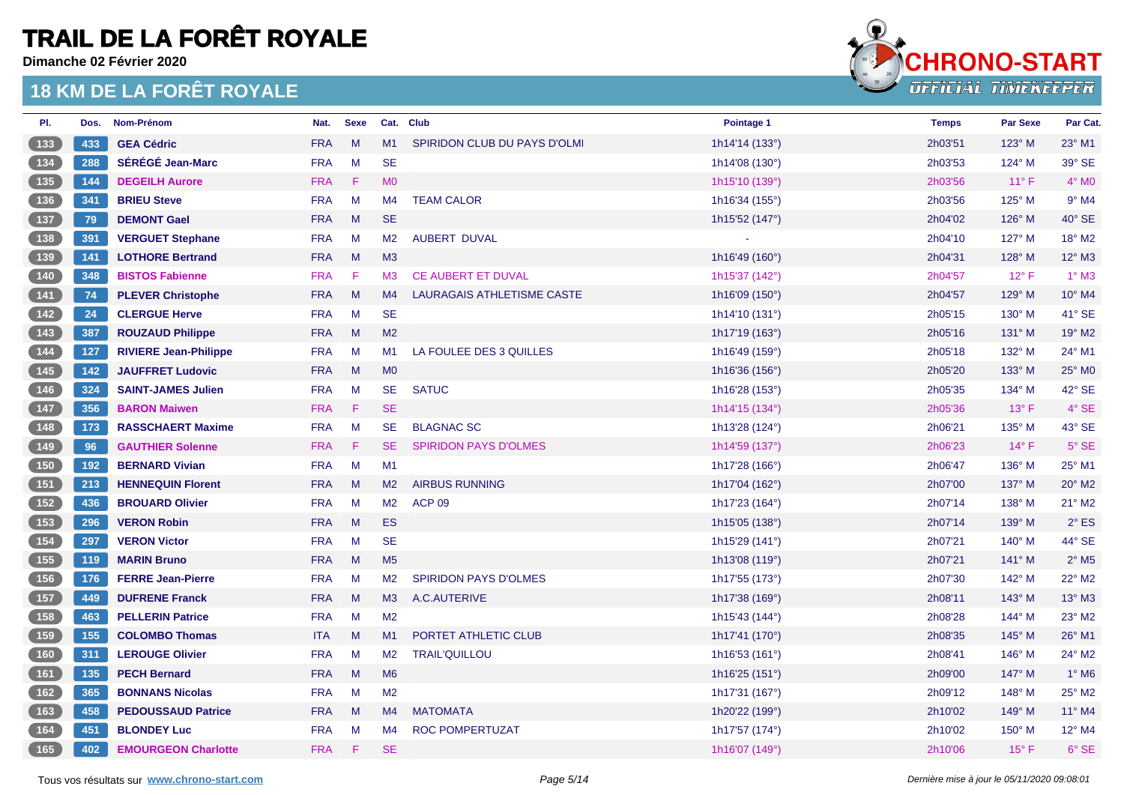**Dimanche 02 Février 2020**



| PI.                                                | Dos. | Nom-Prénom                   | Nat.       | <b>Sexe</b> |                | Cat. Club                         | Pointage 1                | <b>Temps</b> | <b>Par Sexe</b> | Par Cat.                   |
|----------------------------------------------------|------|------------------------------|------------|-------------|----------------|-----------------------------------|---------------------------|--------------|-----------------|----------------------------|
| (133)                                              | 433  | <b>GEA Cédric</b>            | <b>FRA</b> | M           | M1             | SPIRIDON CLUB DU PAYS D'OLMI      | 1h14'14 (133°)            | 2h03'51      | $123^\circ$ M   | $23^\circ$ M1              |
| $\begin{array}{ c c c }\n\hline\n134\n\end{array}$ | 288  | SÉRÉGÉ Jean-Marc             | <b>FRA</b> | M           | <b>SE</b>      |                                   | 1h14'08 (130°)            | 2h03'53      | 124° M          | 39° SE                     |
| (135)                                              | 144  | <b>DEGEILH Aurore</b>        | <b>FRA</b> | -F          | M <sub>0</sub> |                                   | 1h15'10 (139°)            | 2h03'56      | $11^{\circ}$ F  | $4^\circ$ MO               |
| (136)                                              | 341  | <b>BRIEU Steve</b>           | <b>FRA</b> | M           | M4             | <b>TEAM CALOR</b>                 | 1h16'34 (155°)            | 2h03'56      | 125° M          | $9°$ M4                    |
| (137)                                              | 79   | <b>DEMONT Gael</b>           | <b>FRA</b> | M           | <b>SE</b>      |                                   | 1h15'52 (147°)            | 2h04'02      | $126^\circ$ M   | 40° SE                     |
| $\begin{array}{ c c c }\n\hline\n138\n\end{array}$ | 391  | <b>VERGUET Stephane</b>      | <b>FRA</b> | M           | M <sub>2</sub> | <b>AUBERT DUVAL</b>               |                           | 2h04'10      | 127° M          | 18° M2                     |
| (139)                                              | 141  | <b>LOTHORE Bertrand</b>      | <b>FRA</b> | M           | M3             |                                   | 1h16'49 (160°)            | 2h04'31      | 128° M          | $12^{\circ}$ M3            |
| (140)                                              | 348  | <b>BISTOS Fabienne</b>       | <b>FRA</b> | -F          | M3             | <b>CE AUBERT ET DUVAL</b>         | 1h15'37 (142°)            | 2h04'57      | $12^{\circ}$ F  | $1^\circ$ M3               |
| (141)                                              | 74   | <b>PLEVER Christophe</b>     | <b>FRA</b> | $M_{\odot}$ | M4             | <b>LAURAGAIS ATHLETISME CASTE</b> | 1h16'09 (150°)            | 2h04'57      | 129° M          | 10° M4                     |
| (142)                                              | 24   | <b>CLERGUE Herve</b>         | <b>FRA</b> | M           | <b>SE</b>      |                                   | 1h14'10 (131°)            | 2h05'15      | $130^\circ$ M   | 41° SE                     |
| (143)                                              | 387  | <b>ROUZAUD Philippe</b>      | <b>FRA</b> | M           | M <sub>2</sub> |                                   | 1h17'19 (163°)            | 2h05'16      | $131^\circ$ M   | 19° M2                     |
| (144)                                              | 127  | <b>RIVIERE Jean-Philippe</b> | <b>FRA</b> | M           | M1             | LA FOULEE DES 3 QUILLES           | 1h16'49 (159°)            | 2h05'18      | 132° M          | 24° M1                     |
| (145)                                              | 142  | <b>JAUFFRET Ludovic</b>      | <b>FRA</b> | M           | <b>MO</b>      |                                   | 1h16'36 (156°)            | 2h05'20      | 133° M          | 25° M0                     |
| (146)                                              | 324  | <b>SAINT-JAMES Julien</b>    | <b>FRA</b> | M           | <b>SE</b>      | <b>SATUC</b>                      | 1h16'28 (153°)            | 2h05'35      | $134^\circ$ M   | 42° SE                     |
| (147)                                              | 356  | <b>BARON Maiwen</b>          | <b>FRA</b> | -F          | <b>SE</b>      |                                   | 1h14'15 (134°)            | 2h05'36      | $13^\circ$ F    | 4° SE                      |
|                                                    | 173  | <b>RASSCHAERT Maxime</b>     | <b>FRA</b> | M           | <b>SE</b>      | <b>BLAGNAC SC</b>                 | 1h13'28 (124°)            | 2h06'21      | 135° M          | 43° SE                     |
| (149)                                              | 96   | <b>GAUTHIER Solenne</b>      | <b>FRA</b> | - F         | <b>SE</b>      | <b>SPIRIDON PAYS D'OLMES</b>      | 1h14'59 (137°)            | 2h06'23      | $14^{\circ}$ F  | 5° SE                      |
| (150)                                              | 192  | <b>BERNARD Vivian</b>        | <b>FRA</b> | M           | M1             |                                   | 1h17'28 (166°)            | 2h06'47      | 136° M          | 25° M1                     |
| (151)                                              | 213  | <b>HENNEQUIN Florent</b>     | <b>FRA</b> | M           | M2             | <b>AIRBUS RUNNING</b>             | 1h17'04 (162 $^{\circ}$ ) | 2h07'00      | $137^\circ$ M   | 20° M2                     |
| $\begin{array}{ c c }\n\hline\n152\n\end{array}$   | 436  | <b>BROUARD Olivier</b>       | <b>FRA</b> | M           | M <sub>2</sub> | ACP <sub>09</sub>                 | 1h17'23 (164°)            | 2h07'14      | 138° M          | 21° M2                     |
| (153)                                              | 296  | <b>VERON Robin</b>           | <b>FRA</b> | M           | <b>ES</b>      |                                   | 1h15'05 (138°)            | 2h07'14      | 139° M          | $2^{\circ}$ ES             |
| $\begin{array}{ c c c }\n\hline\n154\n\end{array}$ | 297  | <b>VERON Victor</b>          | <b>FRA</b> | M           | <b>SE</b>      |                                   | 1h15'29 (141°)            | 2h07'21      | $140^\circ$ M   | 44° SE                     |
| (155)                                              | 119  | <b>MARIN Bruno</b>           | <b>FRA</b> | M           | M <sub>5</sub> |                                   | 1h13'08 (119°)            | 2h07'21      | $141^\circ$ M   | $2^{\circ}$ M <sub>5</sub> |
| (156)                                              | 176  | <b>FERRE Jean-Pierre</b>     | <b>FRA</b> | M           | M <sub>2</sub> | <b>SPIRIDON PAYS D'OLMES</b>      | 1h17'55 (173°)            | 2h07'30      | 142° M          | 22° M2                     |
| (157)                                              | 449  | <b>DUFRENE Franck</b>        | <b>FRA</b> | M           | M3             | A.C.AUTERIVE                      | 1h17'38 (169°)            | 2h08'11      | 143° M          | 13° M3                     |
|                                                    | 463  | <b>PELLERIN Patrice</b>      | <b>FRA</b> | M           | M <sub>2</sub> |                                   | 1h15'43 (144°)            | 2h08'28      | 144° M          | 23° M2                     |
| (159)                                              | 155  | <b>COLOMBO Thomas</b>        | <b>ITA</b> | M           | M1             | PORTET ATHLETIC CLUB              | 1h17'41 (170°)            | 2h08'35      | 145° M          | 26° M1                     |
| (160)                                              | 311  | <b>LEROUGE Olivier</b>       | <b>FRA</b> | M           | M <sub>2</sub> | <b>TRAIL'QUILLOU</b>              | 1h16'53 $(161°)$          | 2h08'41      | $146^{\circ}$ M | 24° M2                     |
| (161)                                              | 135  | <b>PECH Bernard</b>          | <b>FRA</b> | M           | M <sub>6</sub> |                                   | 1h16'25 (151°)            | 2h09'00      | 147° M          | $1^\circ$ M6               |
| (162)                                              | 365  | <b>BONNANS Nicolas</b>       | <b>FRA</b> | M           | M2             |                                   | 1h17'31 (167°)            | 2h09'12      | $148^\circ$ M   | 25° M2                     |
| (163)                                              | 458  | <b>PEDOUSSAUD Patrice</b>    | <b>FRA</b> | M           | M4             | <b>MATOMATA</b>                   | 1h20'22 (199°)            | 2h10'02      | 149° M          | $11^{\circ}$ M4            |
| $164$                                              | 451  | <b>BLONDEY Luc</b>           | <b>FRA</b> | M           | M4             | <b>ROC POMPERTUZAT</b>            | 1h17'57 (174°)            | 2h10'02      | 150° M          | 12° M4                     |
| (165)                                              | 402  | <b>EMOURGEON Charlotte</b>   | <b>FRA</b> | -F          | <b>SE</b>      |                                   | 1h16'07 (149°)            | 2h10'06      | $15^{\circ}$ F  | 6° SE                      |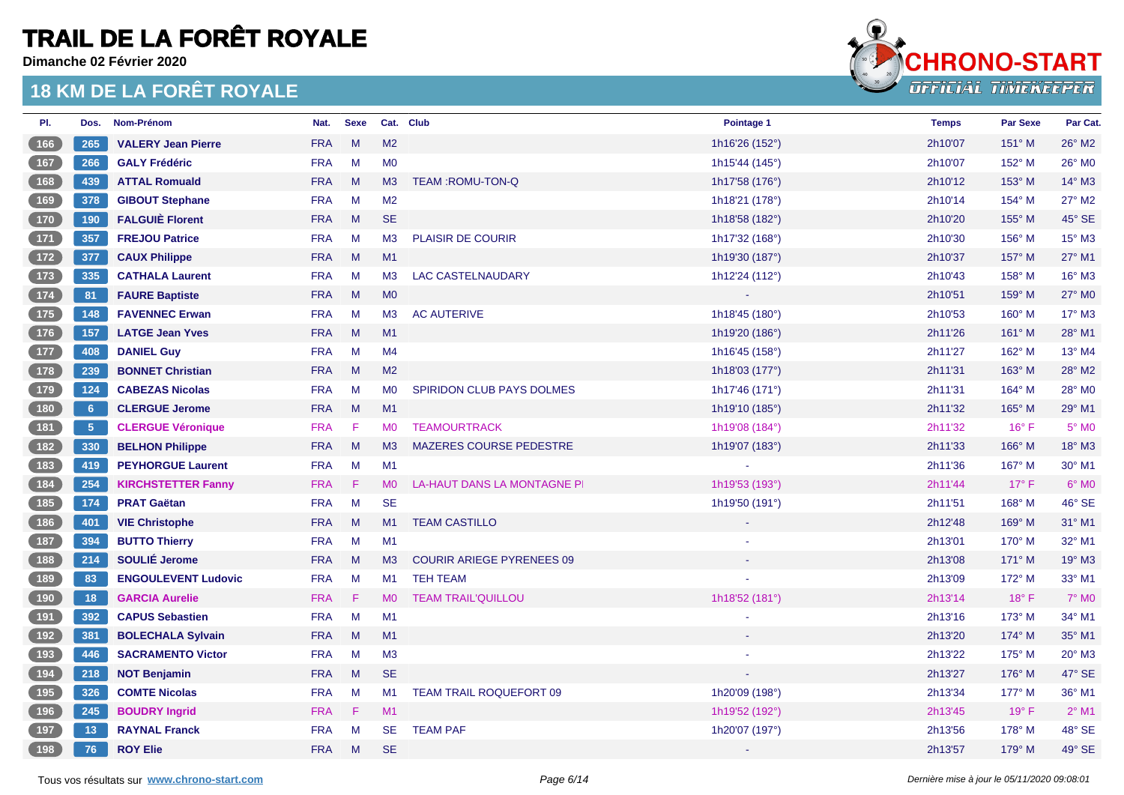**Dimanche 02 Février 2020**



| PI.                                                | Dos.        | Nom-Prénom                 | Nat.       | <b>Sexe</b> |                | Cat. Club                        | Pointage 1     | <b>Temps</b> | <b>Par Sexe</b> | Par Cat.        |
|----------------------------------------------------|-------------|----------------------------|------------|-------------|----------------|----------------------------------|----------------|--------------|-----------------|-----------------|
| 166                                                | 265         | <b>VALERY Jean Pierre</b>  | <b>FRA</b> | M           | M <sub>2</sub> |                                  | 1h16'26 (152°) | 2h10'07      | 151° M          | 26° M2          |
| $\begin{array}{ c c c }\n\hline\n167\n\end{array}$ | 266         | <b>GALY Frédéric</b>       | <b>FRA</b> | M           | M <sub>0</sub> |                                  | 1h15'44 (145°) | 2h10'07      | 152° M          | 26° M0          |
| 168                                                | 439         | <b>ATTAL Romuald</b>       | <b>FRA</b> | M           | M3             | <b>TEAM:ROMU-TON-Q</b>           | 1h17'58 (176°) | 2h10'12      | $153^\circ$ M   | $14^\circ$ M3   |
| 169                                                | 378         | <b>GIBOUT Stephane</b>     | <b>FRA</b> | M           | M <sub>2</sub> |                                  | 1h18'21 (178°) | 2h10'14      | 154° M          | 27° M2          |
| (170)                                              | 190         | <b>FALGUIÈ Florent</b>     | <b>FRA</b> | M           | <b>SE</b>      |                                  | 1h18'58 (182°) | 2h10'20      | $155^\circ$ M   | 45° SE          |
| $\boxed{171}$                                      | 357         | <b>FREJOU Patrice</b>      | <b>FRA</b> | M           | M3             | <b>PLAISIR DE COURIR</b>         | 1h17'32 (168°) | 2h10'30      | 156° M          | 15° M3          |
| $\boxed{172}$                                      | 377         | <b>CAUX Philippe</b>       | <b>FRA</b> | M           | M1             |                                  | 1h19'30 (187°) | 2h10'37      | 157° M          | 27° M1          |
| (173)                                              | 335         | <b>CATHALA Laurent</b>     | <b>FRA</b> | M           | M3             | <b>LAC CASTELNAUDARY</b>         | 1h12'24 (112°) | 2h10'43      | $158^\circ$ M   | $16^{\circ}$ M3 |
| (174)                                              | 81          | <b>FAURE Baptiste</b>      | <b>FRA</b> | M           | M <sub>0</sub> |                                  |                | 2h10'51      | $159^\circ$ M   | 27° MO          |
| $\boxed{175}$                                      | 148         | <b>FAVENNEC Erwan</b>      | <b>FRA</b> | M           | M3             | <b>AC AUTERIVE</b>               | 1h18'45 (180°) | 2h10'53      | 160° M          | 17° M3          |
| [176]                                              | 157         | <b>LATGE Jean Yves</b>     | <b>FRA</b> | M           | M1             |                                  | 1h19'20 (186°) | 2h11'26      | 161° M          | $28^{\circ}$ M1 |
| (177)                                              | 408         | <b>DANIEL Guy</b>          | <b>FRA</b> | M           | M4             |                                  | 1h16'45 (158°) | 2h11'27      | $162^\circ$ M   | $13^{\circ}$ M4 |
| 178                                                | 239         | <b>BONNET Christian</b>    | <b>FRA</b> | M           | M2             |                                  | 1h18'03 (177°) | 2h11'31      | $163^\circ$ M   | 28° M2          |
| $179$                                              | 124         | <b>CABEZAS Nicolas</b>     | <b>FRA</b> | M           | <b>MO</b>      | SPIRIDON CLUB PAYS DOLMES        | 1h17'46 (171°) | 2h11'31      | 164° M          | 28° MO          |
| 180                                                | $6^{\circ}$ | <b>CLERGUE Jerome</b>      | <b>FRA</b> | M           | M1             |                                  | 1h19'10 (185°) | 2h11'32      | 165° M          | 29° M1          |
| $\begin{array}{c} \boxed{181} \end{array}$         | $-5$        | <b>CLERGUE Véronique</b>   | <b>FRA</b> | F           | <b>MO</b>      | <b>TEAMOURTRACK</b>              | 1h19'08 (184°) | 2h11'32      | $16^{\circ}$ F  | $5^\circ$ MO    |
| (182)                                              | 330         | <b>BELHON Philippe</b>     | <b>FRA</b> | M           | M <sub>3</sub> | <b>MAZERES COURSE PEDESTRE</b>   | 1h19'07 (183°) | 2h11'33      | 166° M          | 18° M3          |
|                                                    | 419         | <b>PEYHORGUE Laurent</b>   | <b>FRA</b> | M           | M1             |                                  |                | 2h11'36      | 167° M          | 30° M1          |
| $\begin{bmatrix} 184 \end{bmatrix}$                | 254         | <b>KIRCHSTETTER Fanny</b>  | <b>FRA</b> | F           | M <sub>0</sub> | LA-HAUT DANS LA MONTAGNE PI      | 1h19'53 (193°) | 2h11'44      | $17^\circ$ F    | $6^\circ$ MO    |
| $\begin{array}{c} \boxed{185} \end{array}$         | 174         | <b>PRAT Gaëtan</b>         | <b>FRA</b> | M           | <b>SE</b>      |                                  | 1h19'50 (191°) | 2h11'51      | $168^\circ$ M   | 46° SE          |
| 186                                                | 401         | <b>VIE Christophe</b>      | <b>FRA</b> | M           | M1             | <b>TEAM CASTILLO</b>             |                | 2h12'48      | 169° M          | 31° M1          |
| $\begin{array}{c} \boxed{187} \end{array}$         | 394         | <b>BUTTO Thierry</b>       | <b>FRA</b> | M           | M1             |                                  |                | 2h13'01      | 170° M          | 32° M1          |
| (188)                                              | 214         | SOULIÉ Jerome              | <b>FRA</b> | M           | M3             | <b>COURIR ARIEGE PYRENEES 09</b> |                | 2h13'08      | $171^\circ$ M   | $19°$ M3        |
| $\boxed{189}$                                      | 83          | <b>ENGOULEVENT Ludovic</b> | <b>FRA</b> | M           | M1             | <b>TEH TEAM</b>                  |                | 2h13'09      | $172^\circ$ M   | 33° M1          |
| 190                                                | 18          | <b>GARCIA Aurelie</b>      | <b>FRA</b> | F           | <b>MO</b>      | <b>TEAM TRAIL'QUILLOU</b>        | 1h18'52 (181°) | 2h13'14      | $18^{\circ}$ F  | 7° M0           |
| $\begin{array}{c} \boxed{191} \end{array}$         | 392         | <b>CAPUS Sebastien</b>     | <b>FRA</b> | M           | M1             |                                  |                | 2h13'16      | 173° M          | 34° M1          |
| $\begin{array}{c} \boxed{192} \end{array}$         | 381         | <b>BOLECHALA Sylvain</b>   | <b>FRA</b> | M           | M1             |                                  |                | 2h13'20      | 174° M          | 35° M1          |
| $\boxed{193}$                                      | 446         | <b>SACRAMENTO Victor</b>   | <b>FRA</b> | M           | M3             |                                  |                | 2h13'22      | $175^\circ$ M   | $20^\circ$ M3   |
| 194                                                | 218         | <b>NOT Benjamin</b>        | <b>FRA</b> | M           | <b>SE</b>      |                                  |                | 2h13'27      | 176° M          | 47° SE          |
| 195                                                | 326         | <b>COMTE Nicolas</b>       | <b>FRA</b> | M           | M1             | TEAM TRAIL ROQUEFORT 09          | 1h20'09 (198°) | 2h13'34      | 177° M          | 36° M1          |
| 196                                                | 245         | <b>BOUDRY Ingrid</b>       | <b>FRA</b> | F           | M1             |                                  | 1h19'52 (192°) | 2h13'45      | $19^{\circ}$ F  | $2^{\circ}$ M1  |
| 197                                                | 13          | <b>RAYNAL Franck</b>       | <b>FRA</b> | M           | <b>SE</b>      | <b>TEAM PAF</b>                  | 1h20'07 (197°) | 2h13'56      | 178° M          | 48° SE          |
| (198)                                              | 76          | <b>ROY Elie</b>            | <b>FRA</b> | M           | <b>SE</b>      |                                  |                | 2h13'57      | 179° M          | 49° SE          |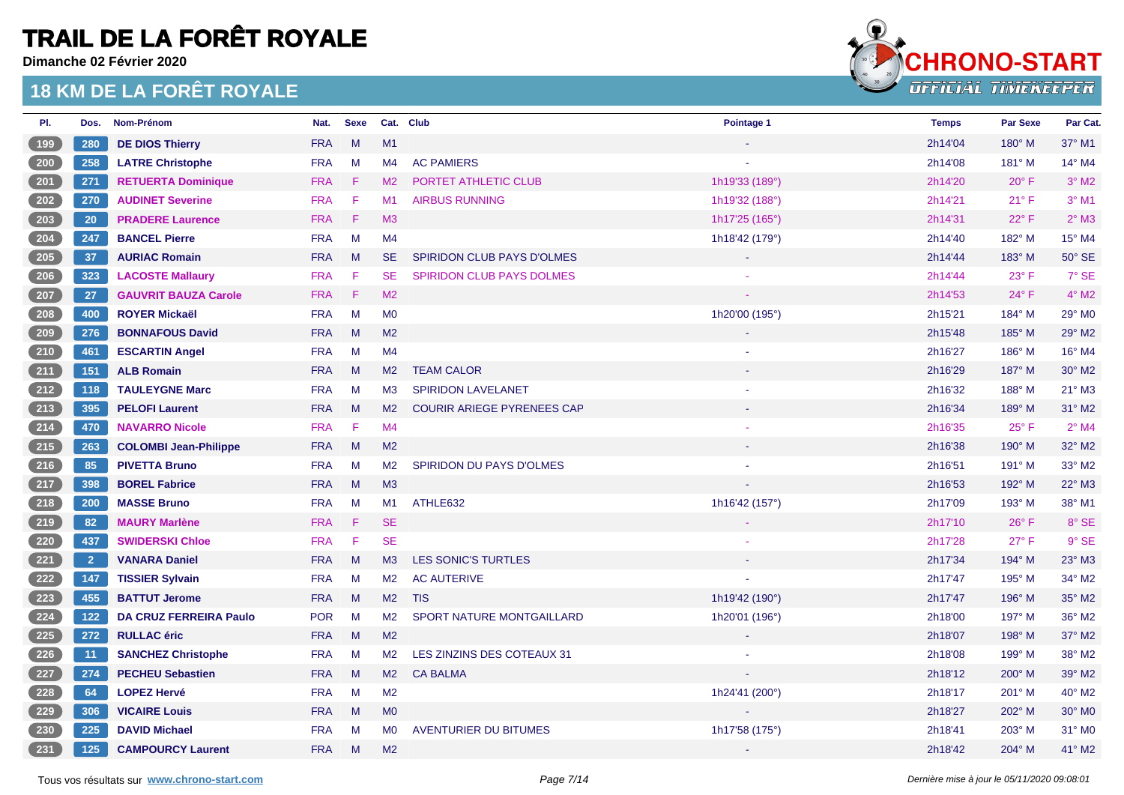**Dimanche 02 Février 2020**



| PI.                                 | Dos.           | Nom-Prénom                    | Nat.       | <b>Sexe</b>                  |                | Cat. Club                         | Pointage 1       | <b>Temps</b> | <b>Par Sexe</b> | Par Cat.           |
|-------------------------------------|----------------|-------------------------------|------------|------------------------------|----------------|-----------------------------------|------------------|--------------|-----------------|--------------------|
| 199                                 | 280            | <b>DE DIOS Thierry</b>        | <b>FRA</b> | M                            | M1             |                                   |                  | 2h14'04      | 180° M          | 37° M1             |
| $\sqrt{200}$                        | 258            | <b>LATRE Christophe</b>       | <b>FRA</b> | M                            | M4             | <b>AC PAMIERS</b>                 |                  | 2h14'08      | $181^\circ$ M   | 14° M4             |
| $\overline{201}$                    | 271            | <b>RETUERTA Dominique</b>     | <b>FRA</b> | $\langle \mathsf{F} \rangle$ | M <sub>2</sub> | PORTET ATHLETIC CLUB              | 1h19'33 (189°)   | 2h14'20      | $20^{\circ}$ F  | $3°$ M2            |
| $\overline{202}$                    | 270            | <b>AUDINET Severine</b>       | <b>FRA</b> | $\mathsf F$                  | M1             | <b>AIRBUS RUNNING</b>             | 1h19'32 (188°)   | 2h14'21      | 21° F           | $3°$ M1            |
| $\frac{203}{20}$                    | 20             | <b>PRADERE Laurence</b>       | <b>FRA</b> | F                            | M <sub>3</sub> |                                   | 1h17'25 (165°)   | 2h14'31      | $22^{\circ}$ F  | $2^{\circ}$ M3     |
| $204$                               | 247            | <b>BANCEL Pierre</b>          | <b>FRA</b> | M                            | M <sub>4</sub> |                                   | 1h18'42 (179°)   | 2h14'40      | 182° M          | 15° M4             |
| (205)                               | 37             | <b>AURIAC Romain</b>          | <b>FRA</b> | M                            | SE.            | <b>SPIRIDON CLUB PAYS D'OLMES</b> | $\omega_{\rm c}$ | 2h14'44      | $183^\circ$ M   | $50^\circ$ SE      |
| $\sqrt{206}$                        | 323            | <b>LACOSTE Mallaury</b>       | <b>FRA</b> | -F                           | <b>SE</b>      | <b>SPIRIDON CLUB PAYS DOLMES</b>  |                  | 2h14'44      | $23^{\circ}$ F  | 7° SE              |
| $\frac{207}{20}$                    | 27             | <b>GAUVRIT BAUZA Carole</b>   | <b>FRA</b> | - F                          | M <sub>2</sub> |                                   | $\sim$           | 2h14'53      | $24^{\circ}$ F  | $4^{\circ}$ M2     |
| $\begin{bmatrix} 208 \end{bmatrix}$ | 400            | <b>ROYER Mickaël</b>          | <b>FRA</b> | M                            | M <sub>0</sub> |                                   | 1h20'00 (195°)   | 2h15'21      | 184° M          | 29° M0             |
| (209)                               | 276            | <b>BONNAFOUS David</b>        | <b>FRA</b> | M                            | M <sub>2</sub> |                                   |                  | 2h15'48      | 185° M          | 29° M2             |
| 210                                 | 461            | <b>ESCARTIN Angel</b>         | <b>FRA</b> | M                            | M <sub>4</sub> |                                   |                  | 2h16'27      | 186° M          | 16° M4             |
| (211)                               | 151            | <b>ALB Romain</b>             | <b>FRA</b> | M                            | M <sub>2</sub> | <b>TEAM CALOR</b>                 |                  | 2h16'29      | 187° M          | 30° M2             |
| 212                                 | 118            | <b>TAULEYGNE Marc</b>         | <b>FRA</b> | M                            | M <sub>3</sub> | SPIRIDON LAVELANET                |                  | 2h16'32      | 188° M          | 21° M3             |
| (213)                               | 395            | <b>PELOFI Laurent</b>         | <b>FRA</b> | M                            | M <sub>2</sub> | <b>COURIR ARIEGE PYRENEES CAP</b> |                  | 2h16'34      | 189° M          | 31° M2             |
| $\frac{214}{ }$                     | 470            | <b>NAVARRO Nicole</b>         | <b>FRA</b> | F                            | M4             |                                   |                  | 2h16'35      | 25° F           | $2^{\circ}$ M4     |
| (215)                               | 263            | <b>COLOMBI Jean-Philippe</b>  | <b>FRA</b> | M                            | M <sub>2</sub> |                                   |                  | 2h16'38      | 190° M          | 32° M2             |
| (216)                               | 85             | <b>PIVETTA Bruno</b>          | <b>FRA</b> | M                            | M <sub>2</sub> | <b>SPIRIDON DU PAYS D'OLMES</b>   |                  | 2h16'51      | 191° M          | 33° M2             |
| (217)                               | 398            | <b>BOREL Fabrice</b>          | <b>FRA</b> | M                            | M <sub>3</sub> |                                   |                  | 2h16'53      | 192° M          | 22° M3             |
| $218$                               | 200            | <b>MASSE Bruno</b>            | <b>FRA</b> | M                            | M1             | ATHLE632                          | 1h16'42 (157°)   | 2h17'09      | 193° M          | 38° M1             |
| (219)                               | 82             | <b>MAURY Marlène</b>          | <b>FRA</b> | F                            | <b>SE</b>      |                                   |                  | 2h17'10      | $26^{\circ}$ F  | 8° SE              |
| $\overline{220}$                    | 437            | <b>SWIDERSKI Chloe</b>        | <b>FRA</b> | F                            | <b>SE</b>      |                                   |                  | 2h17'28      | $27^\circ$ F    | $9°$ SE            |
| $\left( 221\right)$                 | $\overline{2}$ | <b>VANARA Daniel</b>          | <b>FRA</b> | M                            | M3             | LES SONIC'S TURTLES               |                  | 2h17'34      | 194° M          | 23° M3             |
| $\begin{bmatrix} 222 \end{bmatrix}$ | 147            | <b>TISSIER Sylvain</b>        | <b>FRA</b> | M                            | M <sub>2</sub> | <b>AC AUTERIVE</b>                |                  | 2h17'47      | 195° M          | 34° M2             |
| $\frac{223}{ }$                     | 455            | <b>BATTUT Jerome</b>          | <b>FRA</b> | M                            | M2             | <b>TIS</b>                        | 1h19'42 (190°)   | 2h17'47      | $196^\circ$ M   | 35° M2             |
| $\begin{bmatrix} 224 \end{bmatrix}$ | $122$          | <b>DA CRUZ FERREIRA Paulo</b> | <b>POR</b> | M                            | M <sub>2</sub> | SPORT NATURE MONTGAILLARD         | 1h20'01 (196°)   | 2h18'00      | 197° M          | 36° M2             |
| $\begin{bmatrix} 225 \end{bmatrix}$ | 272            | <b>RULLAC</b> éric            | <b>FRA</b> | M                            | M <sub>2</sub> |                                   |                  | 2h18'07      | 198° M          | 37° M2             |
| $\frac{226}{ }$                     | 11             | <b>SANCHEZ Christophe</b>     | <b>FRA</b> | M                            | M <sub>2</sub> | LES ZINZINS DES COTEAUX 31        |                  | 2h18'08      | 199° M          | 38° M2             |
| $\left(227\right)$                  | 274            | <b>PECHEU Sebastien</b>       | <b>FRA</b> | M                            | M <sub>2</sub> | <b>CA BALMA</b>                   |                  | 2h18'12      | 200° M          | 39° M2             |
| 228                                 | 64             | <b>LOPEZ Hervé</b>            | <b>FRA</b> | M                            | M <sub>2</sub> |                                   | 1h24'41 (200°)   | 2h18'17      | 201° M          | 40° M2             |
| $\frac{229}{2}$                     | 306            | <b>VICAIRE Louis</b>          | <b>FRA</b> | M                            | M <sub>0</sub> |                                   |                  | 2h18'27      | 202° M          | 30° M <sub>0</sub> |
| $\overline{230}$                    | 225            | <b>DAVID Michael</b>          | <b>FRA</b> | M                            | M <sub>0</sub> | <b>AVENTURIER DU BITUMES</b>      | 1h17'58 (175°)   | 2h18'41      | 203° M          | 31° M0             |
| (231)                               | 125            | <b>CAMPOURCY Laurent</b>      | <b>FRA</b> | M                            | M <sub>2</sub> |                                   |                  | 2h18'42      | 204° M          | 41° M2             |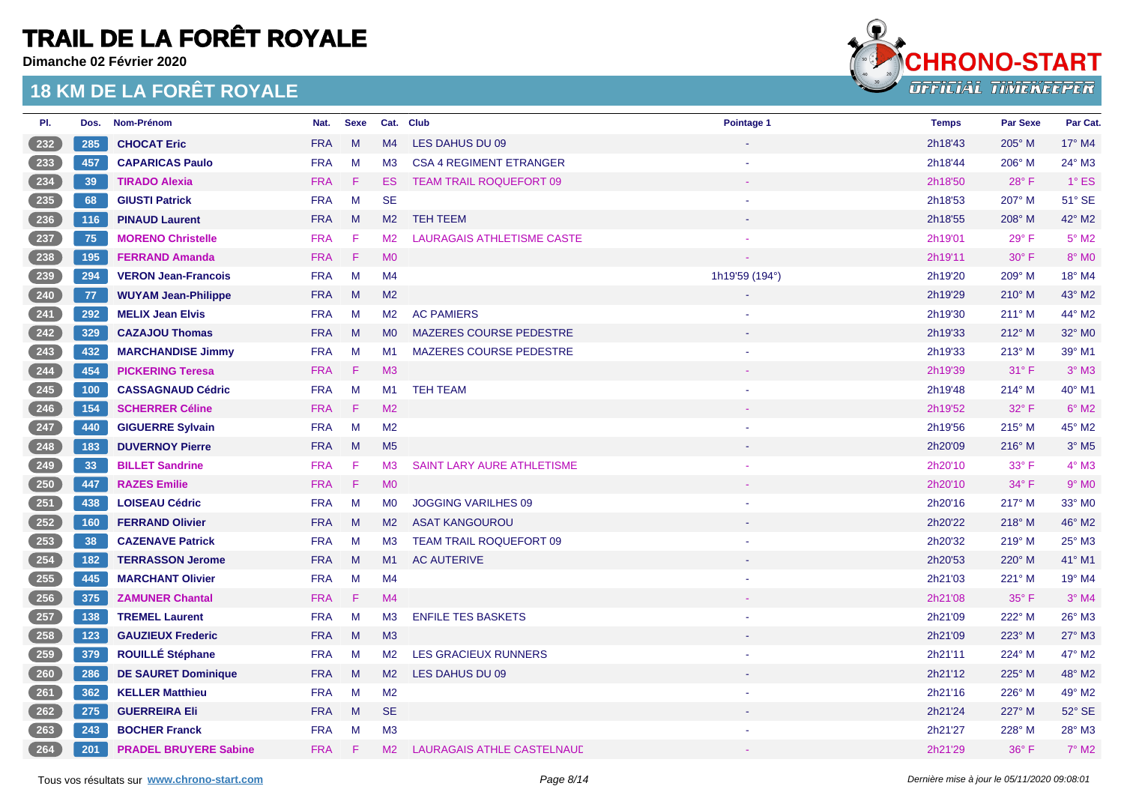**Dimanche 02 Février 2020**



| PI.                                 | Dos. | Nom-Prénom                   | Nat.       | <b>Sexe</b> |                | Cat. Club                         | Pointage 1     | <b>Temps</b> | <b>Par Sexe</b> | Par Cat.            |
|-------------------------------------|------|------------------------------|------------|-------------|----------------|-----------------------------------|----------------|--------------|-----------------|---------------------|
| 232                                 | 285  | <b>CHOCAT Eric</b>           | <b>FRA</b> | M           | M4             | LES DAHUS DU 09                   |                | 2h18'43      | 205° M          | $17^\circ$ M4       |
| $233$                               | 457  | <b>CAPARICAS Paulo</b>       | <b>FRA</b> | M           | M <sub>3</sub> | <b>CSA 4 REGIMENT ETRANGER</b>    |                | 2h18'44      | 206° M          | 24° M3              |
| $234$                               | 39   | <b>TIRADO Alexia</b>         | <b>FRA</b> | - F         | ES.            | <b>TEAM TRAIL ROQUEFORT 09</b>    |                | 2h18'50      | 28°F            | $1^\circ$ ES        |
| $235$                               | 68   | <b>GIUSTI Patrick</b>        | <b>FRA</b> | M           | <b>SE</b>      |                                   |                | 2h18'53      | 207° M          | 51° SE              |
| (236)                               | 116  | <b>PINAUD Laurent</b>        | <b>FRA</b> | M           | M <sub>2</sub> | <b>TEH TEEM</b>                   |                | 2h18'55      | 208° M          | 42° M2              |
| 237                                 | 75   | <b>MORENO Christelle</b>     | <b>FRA</b> | -F          | M <sub>2</sub> | <b>LAURAGAIS ATHLETISME CASTE</b> |                | 2h19'01      | $29°$ F         | $5^{\circ}$ M2      |
| (238)                               | 195  | <b>FERRAND Amanda</b>        | <b>FRA</b> | -F          | M <sub>0</sub> |                                   |                | 2h19'11      | $30^\circ$ F    | $8^\circ$ MO        |
| $239$                               | 294  | <b>VERON Jean-Francois</b>   | <b>FRA</b> | M           | M4             |                                   | 1h19'59 (194°) | 2h19'20      | 209° M          | 18° M4              |
| $\overline{240}$                    | 77   | <b>WUYAM Jean-Philippe</b>   | <b>FRA</b> | M           | M <sub>2</sub> |                                   |                | 2h19'29      | 210° M          | 43° M2              |
| $\overline{241}$                    | 292  | <b>MELIX Jean Elvis</b>      | <b>FRA</b> | M           | M2             | <b>AC PAMIERS</b>                 |                | 2h19'30      | 211° M          | 44° M2              |
| $\frac{242}{ }$                     | 329  | <b>CAZAJOU Thomas</b>        | <b>FRA</b> | M           | <b>MO</b>      | MAZERES COURSE PEDESTRE           |                | 2h19'33      | $212^\circ$ M   | 32° M0              |
| $\begin{bmatrix} 243 \end{bmatrix}$ | 432  | <b>MARCHANDISE Jimmy</b>     | <b>FRA</b> | M           | M1             | <b>MAZERES COURSE PEDESTRE</b>    |                | 2h19'33      | $213^\circ$ M   | 39° M1              |
| $\frac{244}{ }$                     | 454  | <b>PICKERING Teresa</b>      | <b>FRA</b> | -F          | M3             |                                   |                | 2h19'39      | $31^\circ$ F    | $3^\circ$ M3        |
| $245$                               | 100  | <b>CASSAGNAUD Cédric</b>     | <b>FRA</b> | M           | M1             | <b>TEH TEAM</b>                   |                | 2h19'48      | 214° M          | 40° M1              |
| $\frac{246}{ }$                     | 154  | <b>SCHERRER Céline</b>       | <b>FRA</b> | F           | M2             |                                   |                | 2h19'52      | 32° F           | $6^\circ$ M2        |
| 247                                 | 440  | <b>GIGUERRE Sylvain</b>      | <b>FRA</b> | M           | M <sub>2</sub> |                                   |                | 2h19'56      | 215° M          | 45° M2              |
| $\frac{248}{ }$                     | 183  | <b>DUVERNOY Pierre</b>       | <b>FRA</b> | M           | M <sub>5</sub> |                                   |                | 2h20'09      | 216° M          | $3°$ M <sub>5</sub> |
| $249$                               | 33   | <b>BILLET Sandrine</b>       | <b>FRA</b> | -F          | M <sub>3</sub> | <b>SAINT LARY AURE ATHLETISME</b> |                | 2h20'10      | $33^\circ$ F    | $4^\circ$ M3        |
| $\frac{250}{250}$                   | 447  | <b>RAZES Emilie</b>          | <b>FRA</b> | - F         | M <sub>0</sub> |                                   |                | 2h20'10      | $34^{\circ}$ F  | $9°$ M <sub>0</sub> |
| 251                                 | 438  | <b>LOISEAU Cédric</b>        | <b>FRA</b> | M           | M <sub>0</sub> | <b>JOGGING VARILHES 09</b>        |                | 2h20'16      | 217° M          | 33° MO              |
| 252                                 | 160  | <b>FERRAND Olivier</b>       | <b>FRA</b> | M           | M2             | <b>ASAT KANGOUROU</b>             |                | 2h20'22      | 218° M          | 46° M2              |
| $\begin{bmatrix} 253 \end{bmatrix}$ | 38   | <b>CAZENAVE Patrick</b>      | <b>FRA</b> | M           | M3             | <b>TEAM TRAIL ROQUEFORT 09</b>    |                | 2h20'32      | $219°$ M        | 25° M3              |
| 254                                 | 182  | <b>TERRASSON Jerome</b>      | <b>FRA</b> | M           | M1             | <b>AC AUTERIVE</b>                |                | 2h20'53      | 220° M          | 41° M1              |
| $255$                               | 445  | <b>MARCHANT Olivier</b>      | <b>FRA</b> | M           | M4             |                                   |                | 2h21'03      | 221° M          | 19° M4              |
| $\frac{256}{256}$                   | 375  | <b>ZAMUNER Chantal</b>       | <b>FRA</b> | F           | M4             |                                   |                | 2h21'08      | 35° F           | $3°$ M4             |
| $257$                               | 138  | <b>TREMEL Laurent</b>        | <b>FRA</b> | M           | M <sub>3</sub> | <b>ENFILE TES BASKETS</b>         |                | 2h21'09      | 222° M          | 26° M3              |
| $\frac{258}{ }$                     | 123  | <b>GAUZIEUX Frederic</b>     | <b>FRA</b> | M           | M3             |                                   |                | 2h21'09      | $223^\circ$ M   | 27° M3              |
| 259                                 | 379  | <b>ROUILLÉ Stéphane</b>      | <b>FRA</b> | M           | M2             | <b>LES GRACIEUX RUNNERS</b>       |                | 2h21'11      | 224° M          | 47° M2              |
| 260                                 | 286  | <b>DE SAURET Dominique</b>   | <b>FRA</b> | M           | M <sub>2</sub> | LES DAHUS DU 09                   |                | 2h21'12      | 225° M          | 48° M2              |
| 261                                 | 362  | <b>KELLER Matthieu</b>       | <b>FRA</b> | M           | M <sub>2</sub> |                                   |                | 2h21'16      | 226° M          | 49° M2              |
| 262                                 | 275  | <b>GUERREIRA Eli</b>         | <b>FRA</b> | M           | <b>SE</b>      |                                   |                | 2h21'24      | 227° M          | $52^\circ$ SE       |
| $263$                               | 243  | <b>BOCHER Franck</b>         | <b>FRA</b> | M           | M <sub>3</sub> |                                   |                | 2h21'27      | 228° M          | 28° M3              |
| (264)                               | 201  | <b>PRADEL BRUYERE Sabine</b> | <b>FRA</b> | F           | M <sub>2</sub> | <b>LAURAGAIS ATHLE CASTELNAUL</b> |                | 2h21'29      | 36° F           | $7°$ M2             |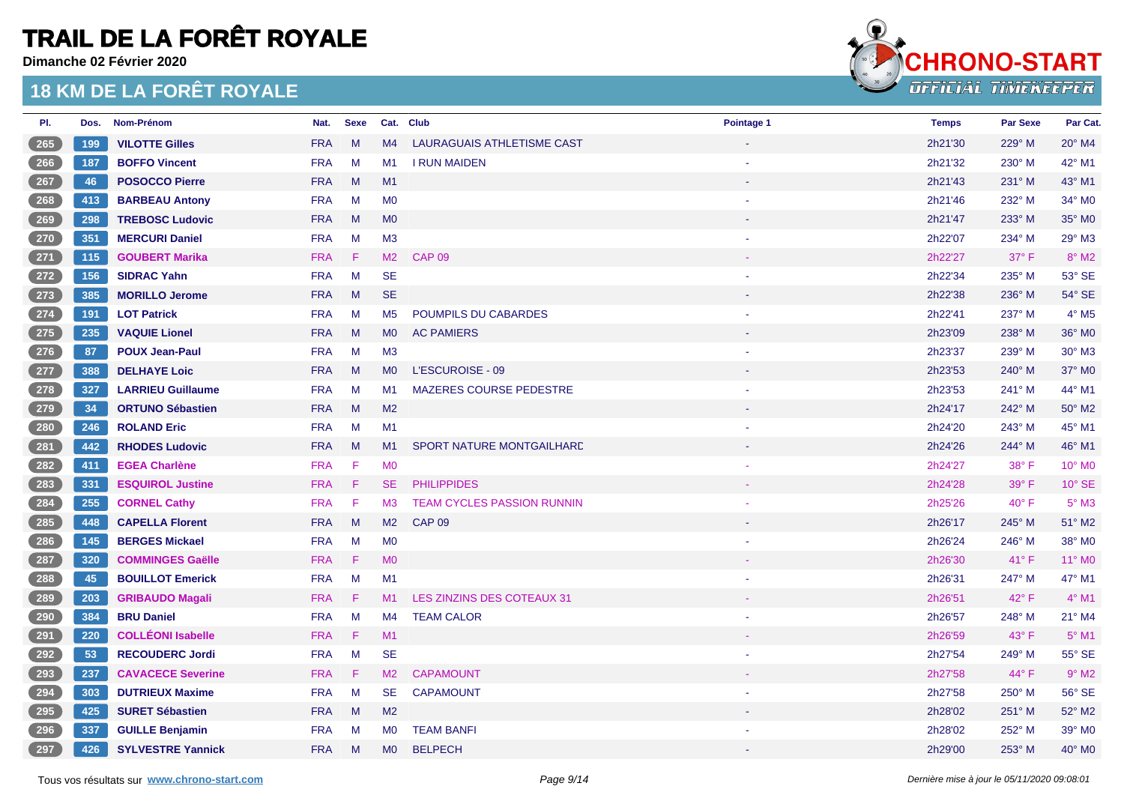**Dimanche 02 Février 2020**



| PI.                                           | Dos. | <b>Nom-Prénom</b>        | Nat.       | <b>Sexe</b> | Cat. Club      |                                   | Pointage 1 | <b>Temps</b> | <b>Par Sexe</b> | Par Cat.                   |
|-----------------------------------------------|------|--------------------------|------------|-------------|----------------|-----------------------------------|------------|--------------|-----------------|----------------------------|
| $\frac{265}{265}$                             | 199  | <b>VILOTTE Gilles</b>    | <b>FRA</b> | M           | M4             | LAURAGUAIS ATHLETISME CAST        |            | 2h21'30      | 229° M          | 20° M4                     |
| $266$                                         | 187  | <b>BOFFO Vincent</b>     | <b>FRA</b> | M           | M1             | <b>I RUN MAIDEN</b>               |            | 2h21'32      | $230^\circ$ M   | 42° M1                     |
| 267                                           | 46   | <b>POSOCCO Pierre</b>    | <b>FRA</b> | M           | M1             |                                   |            | 2h21'43      | 231° M          | 43° M1                     |
| $268$                                         | 413  | <b>BARBEAU Antony</b>    | <b>FRA</b> | M           | M <sub>0</sub> |                                   |            | 2h21'46      | 232° M          | 34° MO                     |
| 269                                           | 298  | <b>TREBOSC Ludovic</b>   | <b>FRA</b> | M           | M <sub>0</sub> |                                   |            | 2h21'47      | 233° M          | 35° M0                     |
| $270$                                         | 351  | <b>MERCURI Daniel</b>    | <b>FRA</b> | M           | M3             |                                   |            | 2h22'07      | 234° M          | 29° M3                     |
| 271                                           | 115  | <b>GOUBERT Marika</b>    | <b>FRA</b> | -F.         | M2             | <b>CAP 09</b>                     |            | 2h22'27      | $37^\circ$ F    | $8^\circ$ M2               |
| 272                                           | 156  | <b>SIDRAC Yahn</b>       | <b>FRA</b> | M           | <b>SE</b>      |                                   |            | 2h22'34      | 235° M          | 53° SE                     |
| 273                                           | 385  | <b>MORILLO Jerome</b>    | <b>FRA</b> | M           | <b>SE</b>      |                                   |            | 2h22'38      | 236° M          | $54^{\circ}$ SE            |
| $274$                                         | 191  | <b>LOT Patrick</b>       | <b>FRA</b> | M           | M <sub>5</sub> | POUMPILS DU CABARDES              |            | 2h22'41      | 237° M          | $4^{\circ}$ M <sub>5</sub> |
| 275                                           | 235  | <b>VAQUIE Lionel</b>     | <b>FRA</b> | M           | M <sub>0</sub> | <b>AC PAMIERS</b>                 |            | 2h23'09      | 238° M          | 36° MO                     |
| $276$                                         | 87   | <b>POUX Jean-Paul</b>    | <b>FRA</b> | M           | M <sub>3</sub> |                                   |            | 2h23'37      | $239^\circ$ M   | $30^\circ$ M3              |
| 277                                           | 388  | <b>DELHAYE Loic</b>      | <b>FRA</b> | M           | <b>MO</b>      | L'ESCUROISE - 09                  |            | 2h23'53      | $240^\circ$ M   | 37° M0                     |
| 278                                           | 327  | <b>LARRIEU Guillaume</b> | <b>FRA</b> | M           | M1             | <b>MAZERES COURSE PEDESTRE</b>    |            | 2h23'53      | 241° M          | 44° M1                     |
| 279                                           | 34   | <b>ORTUNO Sébastien</b>  | <b>FRA</b> | M           | M <sub>2</sub> |                                   |            | 2h24'17      | 242° M          | 50° M2                     |
| $\sqrt{280}$                                  | 246  | <b>ROLAND Eric</b>       | <b>FRA</b> | M           | M1             |                                   |            | 2h24'20      | $243^\circ$ M   | 45° M1                     |
| $\frac{281}{2}$                               | 442  | <b>RHODES Ludovic</b>    | <b>FRA</b> | M           | M1             | SPORT NATURE MONTGAILHARD         |            | 2h24'26      | 244° M          | 46° M1                     |
| $282$                                         | 411  | <b>EGEA Charlène</b>     | <b>FRA</b> | F.          | M <sub>0</sub> |                                   |            | 2h24'27      | $38^\circ$ F    | 10° M <sub>0</sub>         |
| $\frac{283}{ }$                               | 331  | <b>ESQUIROL Justine</b>  | <b>FRA</b> | -F.         | SE.            | <b>PHILIPPIDES</b>                |            | 2h24'28      | $39^\circ$ F    | $10^{\circ}$ SE            |
| 284                                           | 255  | <b>CORNEL Cathy</b>      | <b>FRA</b> | F           | M <sub>3</sub> | <b>TEAM CYCLES PASSION RUNNIN</b> |            | 2h25'26      | 40° F           | $5^\circ$ M3               |
| $\begin{array}{ c c } \hline 285 \end{array}$ | 448  | <b>CAPELLA Florent</b>   | <b>FRA</b> | M           | M2             | <b>CAP 09</b>                     |            | 2h26'17      | $245^\circ$ M   | 51° M2                     |
| $286$                                         | 145  | <b>BERGES Mickael</b>    | <b>FRA</b> | M           | M <sub>0</sub> |                                   |            | 2h26'24      | $246^\circ$ M   | 38° MO                     |
| 287                                           | 320  | <b>COMMINGES Gaëlle</b>  | <b>FRA</b> | Æ           | M <sub>0</sub> |                                   |            | 2h26'30      | $41^{\circ}$ F  | $11^{\circ}$ MO            |
| $288$                                         | 45   | <b>BOUILLOT Emerick</b>  | <b>FRA</b> | M           | M1             |                                   |            | 2h26'31      | 247° M          | 47° M1                     |
| 289                                           | 203  | <b>GRIBAUDO Magali</b>   | <b>FRA</b> | F.          | M1             | LES ZINZINS DES COTEAUX 31        |            | 2h26'51      | $42^{\circ}$ F  | $4^{\circ}$ M1             |
| $\sqrt{290}$                                  | 384  | <b>BRU Daniel</b>        | <b>FRA</b> | M           | M4             | <b>TEAM CALOR</b>                 |            | 2h26'57      | 248° M          | 21° M4                     |
| $\frac{291}{2}$                               | 220  | <b>COLLÉONI Isabelle</b> | <b>FRA</b> | -F.         | M1             |                                   |            | 2h26'59      | $43^\circ$ F    | $5^{\circ}$ M1             |
| $292$                                         | 53   | <b>RECOUDERC Jordi</b>   | <b>FRA</b> | M           | <b>SE</b>      |                                   |            | 2h27'54      | 249° M          | 55° SE                     |
| $\frac{293}{ }$                               | 237  | <b>CAVACECE Severine</b> | <b>FRA</b> | -F          | M2             | <b>CAPAMOUNT</b>                  |            | 2h27'58      | $44^{\circ}$ F  | $9°$ M <sub>2</sub>        |
| $294$                                         | 303  | <b>DUTRIEUX Maxime</b>   | <b>FRA</b> | M           | <b>SE</b>      | <b>CAPAMOUNT</b>                  |            | 2h27'58      | $250^\circ$ M   | 56° SE                     |
| $\frac{295}{2}$                               | 425  | <b>SURET Sébastien</b>   | <b>FRA</b> | M           | M <sub>2</sub> |                                   |            | 2h28'02      | 251° M          | 52° M2                     |
| $296$                                         | 337  | <b>GUILLE Benjamin</b>   | <b>FRA</b> | M           | M <sub>0</sub> | <b>TEAM BANFI</b>                 |            | 2h28'02      | 252° M          | 39° MO                     |
| (297)                                         | 426  | <b>SYLVESTRE Yannick</b> | <b>FRA</b> | M           | M <sub>0</sub> | <b>BELPECH</b>                    |            | 2h29'00      | 253° M          | 40° MO                     |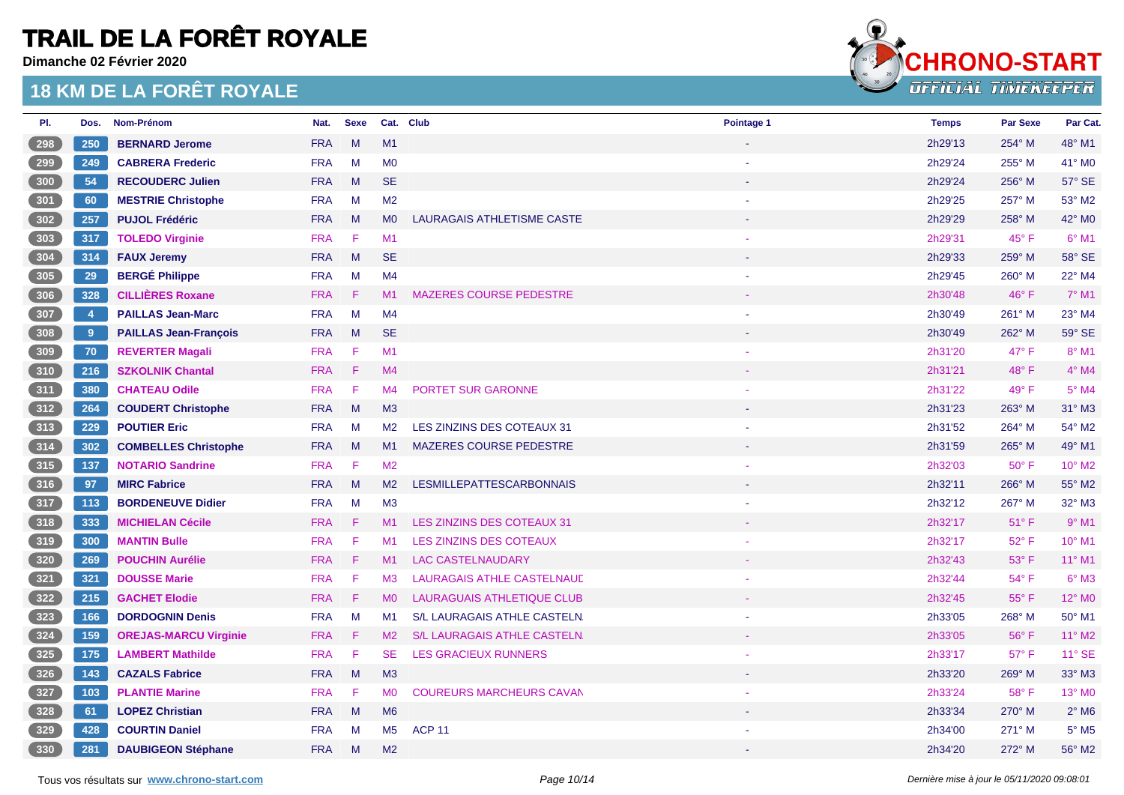**Dimanche 02 Février 2020**



| PI.   | Dos.       | Nom-Prénom                   | Nat.       | <b>Sexe</b> |                | Cat. Club                         | Pointage 1 | <b>Temps</b> | <b>Par Sexe</b> | Par Cat.                   |
|-------|------------|------------------------------|------------|-------------|----------------|-----------------------------------|------------|--------------|-----------------|----------------------------|
| 298   | 250        | <b>BERNARD Jerome</b>        | <b>FRA</b> | M           | M1             |                                   |            | 2h29'13      | $254^\circ$ M   | 48° M1                     |
| $299$ | 249        | <b>CABRERA Frederic</b>      | <b>FRA</b> | M           | M <sub>0</sub> |                                   |            | 2h29'24      | 255° M          | 41° MO                     |
| 300   | 54         | <b>RECOUDERC Julien</b>      | <b>FRA</b> | M           | <b>SE</b>      |                                   |            | 2h29'24      | 256° M          | 57° SE                     |
| 301   | 60         | <b>MESTRIE Christophe</b>    | <b>FRA</b> | M           | M <sub>2</sub> |                                   |            | 2h29'25      | 257° M          | 53° M2                     |
| 302   | 257        | <b>PUJOL Frédéric</b>        | <b>FRA</b> | M           | M <sub>0</sub> | <b>LAURAGAIS ATHLETISME CASTE</b> |            | 2h29'29      | 258° M          | 42° MO                     |
| 303   | 317        | <b>TOLEDO Virginie</b>       | <b>FRA</b> | -F          | M <sub>1</sub> |                                   |            | 2h29'31      | 45°F            | $6°$ M1                    |
| 304   | 314        | <b>FAUX Jeremy</b>           | <b>FRA</b> | M           | <b>SE</b>      |                                   |            | 2h29'33      | 259° M          | 58° SE                     |
| $305$ | 29         | <b>BERGÉ Philippe</b>        | <b>FRA</b> | M           | M <sub>4</sub> |                                   |            | 2h29'45      | 260° M          | 22° M4                     |
| 306   | 328        | <b>CILLIÈRES Roxane</b>      | <b>FRA</b> | -F.         | M1             | <b>MAZERES COURSE PEDESTRE</b>    |            | 2h30'48      | $46^{\circ}$ F  | $7°$ M1                    |
| 307   | $\sqrt{4}$ | <b>PAILLAS Jean-Marc</b>     | <b>FRA</b> | M           | M4             |                                   |            | 2h30'49      | 261° M          | 23° M4                     |
| 308   | 9          | <b>PAILLAS Jean-François</b> | <b>FRA</b> | M           | <b>SE</b>      |                                   |            | 2h30'49      | 262° M          | 59° SE                     |
| 309   | 70         | <b>REVERTER Magali</b>       | <b>FRA</b> | -F.         | M1             |                                   |            | 2h31'20      | 47° F           | $8°$ M1                    |
| 310   | 216        | <b>SZKOLNIK Chantal</b>      | <b>FRA</b> | -F          | M <sub>4</sub> |                                   |            | 2h31'21      | 48°F            | $4^\circ$ M4               |
| 311   | 380        | <b>CHATEAU Odile</b>         | <b>FRA</b> | -F.         | M4             | PORTET SUR GARONNE                |            | 2h31'22      | 49° F           | $5^\circ$ M4               |
| 312   | 264        | <b>COUDERT Christophe</b>    | <b>FRA</b> | M           | M3             |                                   |            | 2h31'23      | 263° M          | $31^\circ$ M3              |
| $313$ | 229        | <b>POUTIER Eric</b>          | <b>FRA</b> | M           | M2             | LES ZINZINS DES COTEAUX 31        |            | 2h31'52      | 264° M          | 54° M2                     |
| 314   | 302        | <b>COMBELLES Christophe</b>  | <b>FRA</b> | M           | M1             | <b>MAZERES COURSE PEDESTRE</b>    |            | 2h31'59      | 265° M          | 49° M1                     |
| 315   | 137        | <b>NOTARIO Sandrine</b>      | <b>FRA</b> | -F          | M <sub>2</sub> |                                   |            | 2h32'03      | $50^\circ$ F    | 10° M2                     |
| 316   | 97         | <b>MIRC Fabrice</b>          | <b>FRA</b> | M           | M2             | <b>LESMILLEPATTESCARBONNAIS</b>   |            | 2h32'11      | 266° M          | 55° M2                     |
| 317   | 113        | <b>BORDENEUVE Didier</b>     | <b>FRA</b> | M           | M3             |                                   |            | 2h32'12      | 267° M          | 32° M3                     |
| 318   | 333        | <b>MICHIELAN Cécile</b>      | <b>FRA</b> | -F.         | M1             | LES ZINZINS DES COTEAUX 31        |            | 2h32'17      | $51^{\circ}$ F  | $9°$ M1                    |
| 319   | 300        | <b>MANTIN Bulle</b>          | <b>FRA</b> | -F          | M1             | LES ZINZINS DES COTEAUX           |            | 2h32'17      | $52^{\circ}$ F  | $10^{\circ}$ M1            |
| 320   | 269        | <b>POUCHIN Aurélie</b>       | <b>FRA</b> | -F          | M1             | <b>LAC CASTELNAUDARY</b>          |            | 2h32'43      | 53° F           | $11^{\circ}$ M1            |
| 321   | 321        | <b>DOUSSE Marie</b>          | <b>FRA</b> | F           | M3             | LAURAGAIS ATHLE CASTELNAUL        |            | 2h32'44      | 54° F           | $6^\circ$ M3               |
| 322   | 215        | <b>GACHET Elodie</b>         | <b>FRA</b> | F           | M <sub>0</sub> | <b>LAURAGUAIS ATHLETIQUE CLUB</b> |            | 2h32'45      | 55°F            | 12° M <sub>0</sub>         |
| $323$ | 166        | <b>DORDOGNIN Denis</b>       | <b>FRA</b> | M           | M1             | S/L LAURAGAIS ATHLE CASTELN.      |            | 2h33'05      | 268° M          | 50° M1                     |
| 324   | 159        | <b>OREJAS-MARCU Virginie</b> | <b>FRA</b> | F.          | M2             | S/L LAURAGAIS ATHLE CASTELN.      |            | 2h33'05      | $56^{\circ}$ F  | $11^{\circ}$ M2            |
| $325$ | 175        | <b>LAMBERT Mathilde</b>      | <b>FRA</b> | F.          | SE.            | <b>LES GRACIEUX RUNNERS</b>       |            | 2h33'17      | $57^\circ$ F    | $11^\circ$ SE              |
| 326   | 143        | <b>CAZALS Fabrice</b>        | <b>FRA</b> | M           | M3             |                                   |            | 2h33'20      | 269° M          | 33° M3                     |
| 327   | 103        | <b>PLANTIE Marine</b>        | <b>FRA</b> | F           | <b>MO</b>      | <b>COUREURS MARCHEURS CAVAN</b>   |            | 2h33'24      | 58°F            | 13° M <sub>0</sub>         |
| 328   | 61         | <b>LOPEZ Christian</b>       | <b>FRA</b> | M           | M <sub>6</sub> |                                   |            | 2h33'34      | $270^\circ$ M   | $2^{\circ}$ M <sub>6</sub> |
| 329   | 428        |                              | <b>FRA</b> |             |                |                                   |            |              |                 | $5^\circ$ M5               |
|       |            | <b>COURTIN Daniel</b>        |            | M           | M <sub>5</sub> | <b>ACP 11</b>                     |            | 2h34'00      | 271° M          |                            |
| (330) | 281        | <b>DAUBIGEON Stéphane</b>    | <b>FRA</b> | M           | M <sub>2</sub> |                                   |            | 2h34'20      | 272° M          | 56° M2                     |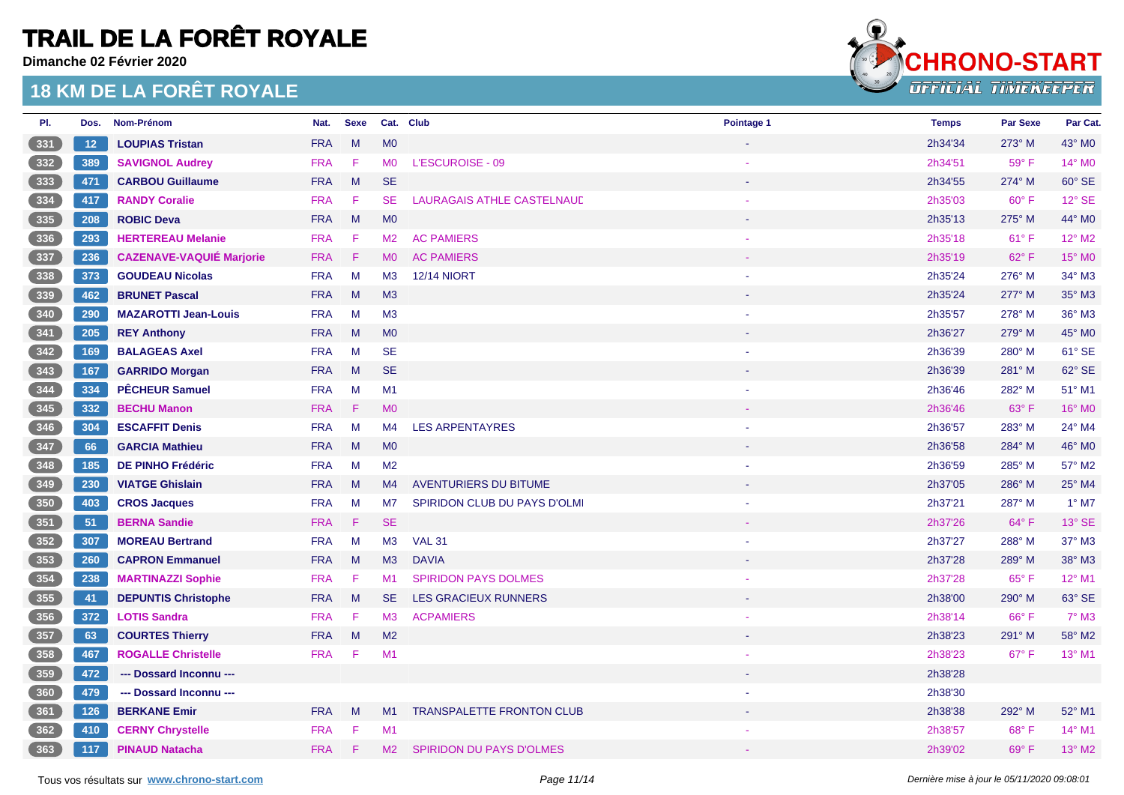**Dimanche 02 Février 2020**



| PI.   | Dos. | Nom-Prénom                      | Nat.       | <b>Sexe</b> |                | Cat. Club                        | Pointage 1 | <b>Temps</b> | <b>Par Sexe</b> | Par Cat.        |
|-------|------|---------------------------------|------------|-------------|----------------|----------------------------------|------------|--------------|-----------------|-----------------|
| 331   | 12   | <b>LOUPIAS Tristan</b>          | <b>FRA</b> | M           | M <sub>0</sub> |                                  |            | 2h34'34      | $273^\circ$ M   | 43° MO          |
| $332$ | 389  | <b>SAVIGNOL Audrey</b>          | <b>FRA</b> | F.          | <b>MO</b>      | L'ESCUROISE - 09                 |            | 2h34'51      | 59° F           | 14° M0          |
| $333$ | 471  | <b>CARBOU Guillaume</b>         | <b>FRA</b> | M           | <b>SE</b>      |                                  |            | 2h34'55      | 274° M          | 60° SE          |
| $334$ | 417  | <b>RANDY Coralie</b>            | <b>FRA</b> | -F.         | <b>SE</b>      | LAURAGAIS ATHLE CASTELNAUL       |            | 2h35'03      | $60^\circ$ F    | 12° SE          |
| $335$ | 208  | <b>ROBIC Deva</b>               | <b>FRA</b> | M           | MO             |                                  |            | 2h35'13      | 275° M          | 44° MO          |
| $336$ | 293  | <b>HERTEREAU Melanie</b>        | <b>FRA</b> | -F          | M <sub>2</sub> | <b>AC PAMIERS</b>                |            | 2h35'18      | $61^{\circ}$ F  | 12° M2          |
| 337   | 236  | <b>CAZENAVE-VAQUIÉ Marjorie</b> | <b>FRA</b> | -F.         | M <sub>0</sub> | <b>AC PAMIERS</b>                |            | 2h35'19      | 62°F            | $15^\circ$ MO   |
| $338$ | 373  | <b>GOUDEAU Nicolas</b>          | <b>FRA</b> | M           | M3             | <b>12/14 NIORT</b>               |            | 2h35'24      | 276° M          | 34° M3          |
| 339   | 462  | <b>BRUNET Pascal</b>            | <b>FRA</b> | M           | M <sub>3</sub> |                                  |            | 2h35'24      | 277° M          | 35° M3          |
| $340$ | 290  | <b>MAZAROTTI Jean-Louis</b>     | <b>FRA</b> | M           | M3             |                                  |            | 2h35'57      | 278° M          | 36° M3          |
| 341   | 205  | <b>REY Anthony</b>              | <b>FRA</b> | M           | M <sub>0</sub> |                                  |            | 2h36'27      | 279° M          | 45° MO          |
| $342$ | 169  | <b>BALAGEAS Axel</b>            | <b>FRA</b> | M           | <b>SE</b>      |                                  |            | 2h36'39      | 280° M          | 61° SE          |
| 343   | 167  | <b>GARRIDO Morgan</b>           | <b>FRA</b> | M           | <b>SE</b>      |                                  |            | 2h36'39      | 281° M          | 62° SE          |
| $344$ | 334  | <b>PÊCHEUR Samuel</b>           | <b>FRA</b> | M           | M1             |                                  |            | 2h36'46      | 282° M          | 51° M1          |
| 345   | 332  | <b>BECHU Manon</b>              | <b>FRA</b> | Æ           | <b>MO</b>      |                                  |            | 2h36'46      | 63° F           | 16° M0          |
| 346   | 304  | <b>ESCAFFIT Denis</b>           | <b>FRA</b> | M           | M4             | <b>LES ARPENTAYRES</b>           |            | 2h36'57      | 283° M          | 24° M4          |
| 347   | 66   | <b>GARCIA Mathieu</b>           | <b>FRA</b> | M           | <b>MO</b>      |                                  |            | 2h36'58      | 284° M          | 46° M0          |
| 348   | 185  | <b>DE PINHO Frédéric</b>        | <b>FRA</b> | M           | M <sub>2</sub> |                                  |            | 2h36'59      | 285° M          | 57° M2          |
| 349   | 230  | <b>VIATGE Ghislain</b>          | <b>FRA</b> | M           | M4             | <b>AVENTURIERS DU BITUME</b>     |            | 2h37'05      | 286° M          | 25° M4          |
| 350   | 403  | <b>CROS Jacques</b>             | <b>FRA</b> | M           | M7             | SPIRIDON CLUB DU PAYS D'OLMI     |            | 2h37'21      | 287° M          | $1°$ M7         |
| 351   | 51   | <b>BERNA Sandie</b>             | <b>FRA</b> | Æ           | <b>SE</b>      |                                  |            | 2h37'26      | $64^{\circ}$ F  | $13^\circ$ SE   |
| 352   | 307  | <b>MOREAU Bertrand</b>          | <b>FRA</b> | M           | M <sub>3</sub> | <b>VAL 31</b>                    |            | 2h37'27      | 288° M          | 37° M3          |
| 353   | 260  | <b>CAPRON Emmanuel</b>          | <b>FRA</b> | M           | M3             | <b>DAVIA</b>                     |            | 2h37'28      | 289° M          | 38° M3          |
| $354$ | 238  | <b>MARTINAZZI Sophie</b>        | <b>FRA</b> | -F          | M1             | <b>SPIRIDON PAYS DOLMES</b>      |            | 2h37'28      | 65°F            | 12° M1          |
| 355   | 41   | <b>DEPUNTIS Christophe</b>      | <b>FRA</b> | M           | <b>SE</b>      | <b>LES GRACIEUX RUNNERS</b>      |            | 2h38'00      | 290° M          | 63° SE          |
| 356   | 372  | <b>LOTIS Sandra</b>             | <b>FRA</b> | F.          | M3             | <b>ACPAMIERS</b>                 |            | 2h38'14      | 66°F            | 7° M3           |
| 357   | 63   | <b>COURTES Thierry</b>          | <b>FRA</b> | M           | M <sub>2</sub> |                                  |            | 2h38'23      | 291° M          | 58° M2          |
| $358$ | 467  | <b>ROGALLE Christelle</b>       | <b>FRA</b> | -F          | M1             |                                  |            | 2h38'23      | $67^\circ$ F    | $13^{\circ}$ M1 |
| 359   | 472  | --- Dossard Inconnu ---         |            |             |                |                                  |            | 2h38'28      |                 |                 |
| 360   | 479  | --- Dossard Inconnu ---         |            |             |                |                                  |            | 2h38'30      |                 |                 |
| 361   | 126  | <b>BERKANE Emir</b>             | <b>FRA</b> | M           | M1             | <b>TRANSPALETTE FRONTON CLUB</b> |            | 2h38'38      | 292° M          | 52° M1          |
| 362   | 410  | <b>CERNY Chrystelle</b>         | <b>FRA</b> | -F.         | M <sub>1</sub> |                                  |            | 2h38'57      | $68^{\circ}$ F  | $14^{\circ}$ M1 |
| 363   | 117  | <b>PINAUD Natacha</b>           | <b>FRA</b> | F           | M2             | <b>SPIRIDON DU PAYS D'OLMES</b>  |            | 2h39'02      | 69° F           | 13° M2          |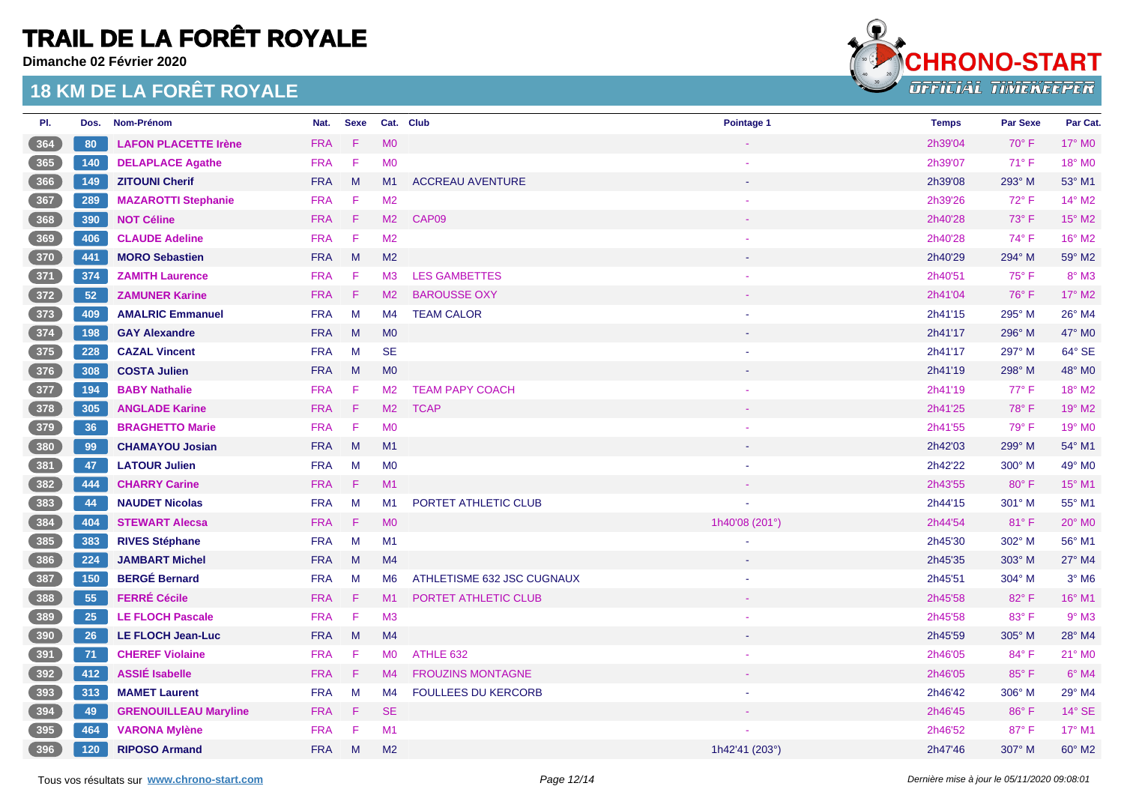**Dimanche 02 Février 2020**



| PI.                                              | Dos.  | Nom-Prénom                   | Nat.       | <b>Sexe</b> |                | Cat. Club                  | Pointage 1     | <b>Temps</b> | <b>Par Sexe</b> | Par Cat.        |
|--------------------------------------------------|-------|------------------------------|------------|-------------|----------------|----------------------------|----------------|--------------|-----------------|-----------------|
| 364                                              | 80    | <b>LAFON PLACETTE Irène</b>  | <b>FRA</b> | F           | <b>MO</b>      |                            |                | 2h39'04      | $70^\circ$ F    | $17^\circ$ MO   |
| $365$                                            | 140   | <b>DELAPLACE Agathe</b>      | <b>FRA</b> | F           | <b>MO</b>      |                            |                | 2h39'07      | $71^\circ$ F    | 18° MO          |
| 366                                              | 149   | <b>ZITOUNI Cherif</b>        | <b>FRA</b> | M           | M1             | <b>ACCREAU AVENTURE</b>    |                | 2h39'08      | 293° M          | 53° M1          |
| 367                                              | 289   | <b>MAZAROTTI Stephanie</b>   | <b>FRA</b> | F           | M <sub>2</sub> |                            |                | 2h39'26      | $72^{\circ}$ F  | 14° M2          |
| 368                                              | 390   | <b>NOT Céline</b>            | <b>FRA</b> | F           | M2             | CAP09                      |                | 2h40'28      | 73° F           | 15° M2          |
| $369$                                            | 406   | <b>CLAUDE Adeline</b>        | <b>FRA</b> | $\mathsf F$ | M <sub>2</sub> |                            |                | 2h40'28      | $74^\circ$ F    | 16° M2          |
| 370                                              | 441   | <b>MORO Sebastien</b>        | <b>FRA</b> | M           | M <sub>2</sub> |                            |                | 2h40'29      | 294° M          | 59° M2          |
| $371$                                            | 374   | <b>ZAMITH Laurence</b>       | <b>FRA</b> | F           | M <sub>3</sub> | <b>LES GAMBETTES</b>       |                | 2h40'51      | 75°F            | $8^\circ$ M3    |
| $\frac{372}{ }$                                  | 52    | <b>ZAMUNER Karine</b>        | <b>FRA</b> | F           | M2             | <b>BAROUSSE OXY</b>        |                | 2h41'04      | 76°F            | 17° M2          |
| $373$                                            | 409   | <b>AMALRIC Emmanuel</b>      | <b>FRA</b> | M           | M4             | <b>TEAM CALOR</b>          |                | 2h41'15      | 295° M          | 26° M4          |
| 374                                              | 198   | <b>GAY Alexandre</b>         | <b>FRA</b> | M           | M <sub>0</sub> |                            |                | 2h41'17      | 296° M          | 47° M0          |
| $375$                                            | 228   | <b>CAZAL Vincent</b>         | <b>FRA</b> | M           | <b>SE</b>      |                            |                | 2h41'17      | 297° M          | 64° SE          |
| 376                                              | 308   | <b>COSTA Julien</b>          | <b>FRA</b> | M           | M <sub>0</sub> |                            |                | 2h41'19      | 298° M          | 48° M0          |
| 377                                              | 194   | <b>BABY Nathalie</b>         | <b>FRA</b> | F           | M <sub>2</sub> | <b>TEAM PAPY COACH</b>     |                | 2h41'19      | $77^\circ$ F    | 18° M2          |
| 378                                              | 305   | <b>ANGLADE Karine</b>        | <b>FRA</b> | $\mathsf F$ | M2             | <b>TCAP</b>                |                | 2h41'25      | 78°F            | 19° M2          |
| $379$                                            | 36    | <b>BRAGHETTO Marie</b>       | <b>FRA</b> | $\mathsf F$ | M <sub>0</sub> |                            |                | 2h41'55      | 79° F           | 19° MO          |
| 380                                              | 99    | <b>CHAMAYOU Josian</b>       | <b>FRA</b> | M           | M1             |                            |                | 2h42'03      | 299° M          | 54° M1          |
| $381$                                            | 47    | <b>LATOUR Julien</b>         | <b>FRA</b> | M           | MO             |                            |                | 2h42'22      | 300° M          | 49° M0          |
| 382                                              | 444   | <b>CHARRY Carine</b>         | <b>FRA</b> | Æ           | M1             |                            |                | 2h43'55      | $80^\circ$ F    | 15° M1          |
| $383$                                            | 44    | <b>NAUDET Nicolas</b>        | <b>FRA</b> | M           | M1             | PORTET ATHLETIC CLUB       |                | 2h44'15      | 301° M          | 55° M1          |
| 384                                              | 404   | <b>STEWART Alecsa</b>        | <b>FRA</b> | F           | <b>MO</b>      |                            | 1h40'08 (201°) | 2h44'54      | 81°F            | 20° MO          |
| $385$                                            | 383   | <b>RIVES Stéphane</b>        | <b>FRA</b> | M           | M1             |                            |                | 2h45'30      | 302° M          | 56° M1          |
| $386$                                            | 224   | <b>JAMBART Michel</b>        | <b>FRA</b> | M           | M4             |                            |                | 2h45'35      | 303° M          | 27° M4          |
| $387$                                            | 150   | <b>BERGÉ Bernard</b>         | <b>FRA</b> | M           | M <sub>6</sub> | ATHLETISME 632 JSC CUGNAUX |                | 2h45'51      | 304° M          | $3°$ M6         |
| 388                                              | 55    | <b>FERRÉ Cécile</b>          | <b>FRA</b> | F           | M1             | PORTET ATHLETIC CLUB       |                | 2h45'58      | 82°F            | 16° M1          |
| 389                                              | 25    | <b>LE FLOCH Pascale</b>      | <b>FRA</b> | F           | M3             |                            |                | 2h45'58      | 83° F           | $9°$ M3         |
| 390                                              | 26    | <b>LE FLOCH Jean-Luc</b>     | <b>FRA</b> | M           | M <sub>4</sub> |                            |                | 2h45'59      | 305° M          | 28° M4          |
| 391                                              | 71    | <b>CHEREF Violaine</b>       | <b>FRA</b> | F           | <b>MO</b>      | ATHLE 632                  |                | 2h46'05      | 84° F           | 21° MO          |
| 392                                              | 412   | <b>ASSIÉ Isabelle</b>        | <b>FRA</b> | F           | M4             | <b>FROUZINS MONTAGNE</b>   |                | 2h46'05      | 85° F           | $6^\circ$ M4    |
| 393                                              | 313   | <b>MAMET Laurent</b>         | <b>FRA</b> | M           | M4             | <b>FOULLEES DU KERCORB</b> |                | 2h46'42      | 306° M          | 29° M4          |
| $\begin{array}{ c c }\n\hline\n394\n\end{array}$ | 49    | <b>GRENOUILLEAU Maryline</b> | <b>FRA</b> | F           | <b>SE</b>      |                            |                | 2h46'45      | 86°F            | 14° SE          |
| 395                                              | 464   | <b>VARONA Mylène</b>         | <b>FRA</b> | F           | M1             |                            |                | 2h46'52      | 87° F           | $17^{\circ}$ M1 |
| (396)                                            | $120$ | <b>RIPOSO Armand</b>         | <b>FRA</b> | M           | M <sub>2</sub> |                            | 1h42'41 (203°) | 2h47'46      | 307° M          | 60° M2          |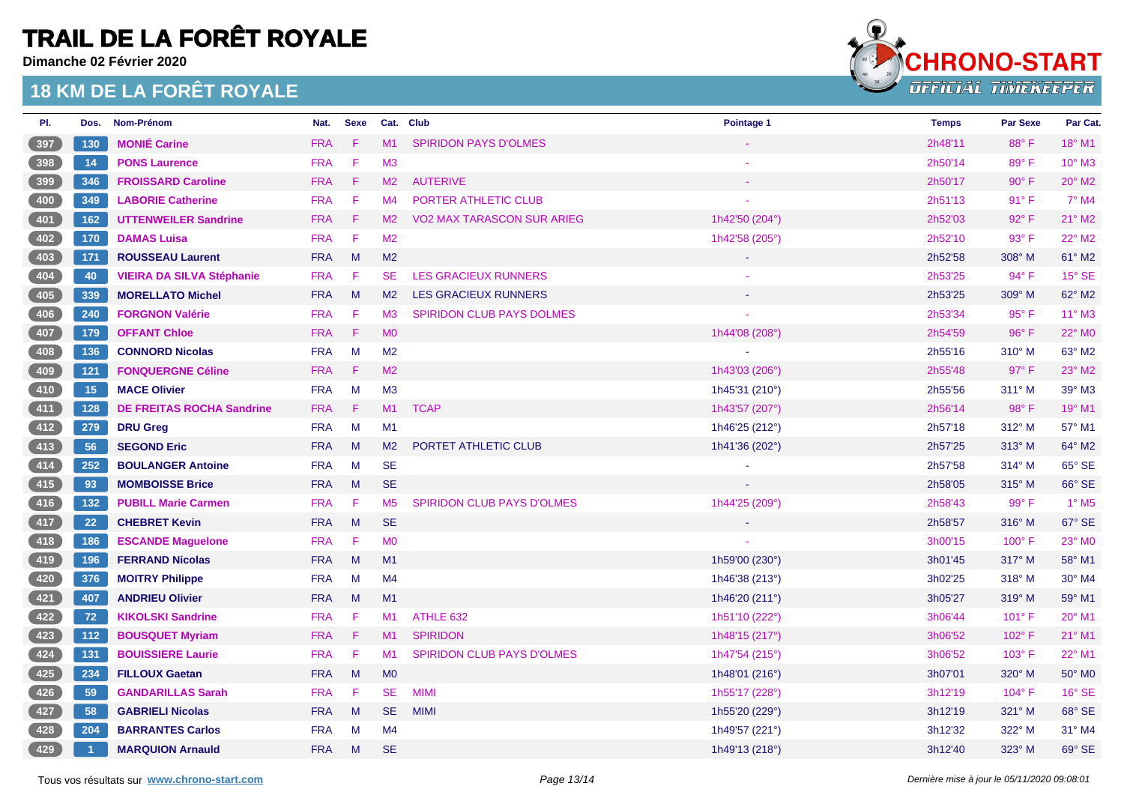**Dimanche 02 Février 2020**



| PI.                                                | Dos.           | Nom-Prénom                       | Nat.       | <b>Sexe</b> |                | Cat. Club                        | Pointage 1     | <b>Temps</b> | <b>Par Sexe</b> | Par Cat.                 |
|----------------------------------------------------|----------------|----------------------------------|------------|-------------|----------------|----------------------------------|----------------|--------------|-----------------|--------------------------|
| 397                                                | 130            | <b>MONIÉ Carine</b>              | <b>FRA</b> | -F          | M1             | <b>SPIRIDON PAYS D'OLMES</b>     |                | 2h48'11      | 88°F            | $18^{\circ}$ M1          |
| $398$                                              | 14             | <b>PONS Laurence</b>             | <b>FRA</b> | F           | M <sub>3</sub> |                                  |                | 2h50'14      | 89°F            | $10^{\circ}$ M3          |
| 399                                                | 346            | <b>FROISSARD Caroline</b>        | <b>FRA</b> | - F         | M2             | <b>AUTERIVE</b>                  |                | 2h50'17      | $90^\circ$ F    | 20° M2                   |
| $400$                                              | 349            | <b>LABORIE Catherine</b>         | <b>FRA</b> | -F          | M4             | PORTER ATHLETIC CLUB             |                | 2h51'13      | 91° F           | $7^\circ$ M4             |
| 401                                                | 162            | <b>UTTENWEILER Sandrine</b>      | <b>FRA</b> | -F          | M2             | VO2 MAX TARASCON SUR ARIEG       | 1h42'50 (204°) | 2h52'03      | 92° F           | $21^{\circ}$ M2          |
| $\left( 402\right)$                                | 170            | <b>DAMAS Luisa</b>               | <b>FRA</b> | - F         | M2             |                                  | 1h42'58 (205°) | 2h52'10      | 93° F           | 22° M2                   |
| (403)                                              | 171            | <b>ROUSSEAU Laurent</b>          | <b>FRA</b> | M           | M <sub>2</sub> |                                  |                | 2h52'58      | 308° M          | 61° M2                   |
| $404$                                              | 40             | <b>VIEIRA DA SILVA Stéphanie</b> | <b>FRA</b> | $-F$        | SE.            | <b>LES GRACIEUX RUNNERS</b>      |                | 2h53'25      | $94^{\circ}$ F  | $15^\circ$ SE            |
| (405)                                              | 339            | <b>MORELLATO Michel</b>          | <b>FRA</b> | $M_{\odot}$ | M2             | <b>LES GRACIEUX RUNNERS</b>      |                | 2h53'25      | 309° M          | 62° M2                   |
| $406$                                              | 240            | <b>FORGNON Valérie</b>           | <b>FRA</b> | -F          | M3             | <b>SPIRIDON CLUB PAYS DOLMES</b> |                | 2h53'34      | 95°F            | $11^{\circ}$ M3          |
| 407                                                | 179            | <b>OFFANT Chloe</b>              | <b>FRA</b> | - F         | M <sub>O</sub> |                                  | 1h44'08 (208°) | 2h54'59      | 96°F            | 22° M <sub>0</sub>       |
| $408$                                              | 136            | <b>CONNORD Nicolas</b>           | <b>FRA</b> | M           | M2             |                                  |                | 2h55'16      | $310^\circ$ M   | 63° M2                   |
| 409                                                | $121$          | <b>FONQUERGNE Céline</b>         | <b>FRA</b> | $-F$        | M2             |                                  | 1h43'03 (206°) | 2h55'48      | $97^\circ$ F    | 23° M2                   |
| $410$                                              | 15             | <b>MACE Olivier</b>              | <b>FRA</b> | $M_{\odot}$ | M3             |                                  | 1h45'31 (210°) | 2h55'56      | 311° M          | 39° M3                   |
| (411)                                              | 128            | <b>DE FREITAS ROCHA Sandrine</b> | <b>FRA</b> | -F          | M1             | <b>TCAP</b>                      | 1h43'57 (207°) | 2h56'14      | 98° F           | 19° M1                   |
| (412)                                              | 279            | <b>DRU Greg</b>                  | <b>FRA</b> | M           | M1             |                                  | 1h46'25 (212°) | 2h57'18      | $312^\circ$ M   | 57° M1                   |
| (413)                                              | 56             | <b>SEGOND Eric</b>               | <b>FRA</b> | M           | M2             | PORTET ATHLETIC CLUB             | 1h41'36 (202°) | 2h57'25      | $313^\circ$ M   | 64° M2                   |
| $\begin{array}{ c c c }\n\hline\n414\n\end{array}$ | 252            | <b>BOULANGER Antoine</b>         | <b>FRA</b> | M           | <b>SE</b>      |                                  |                | 2h57'58      | 314° M          | 65° SE                   |
| (415)                                              | 93             | <b>MOMBOISSE Brice</b>           | <b>FRA</b> | M           | <b>SE</b>      |                                  | $\sim$         | 2h58'05      | $315^\circ$ M   | 66° SE                   |
| (416)                                              | 132            | <b>PUBILL Marie Carmen</b>       | <b>FRA</b> | -F          | M <sub>5</sub> | SPIRIDON CLUB PAYS D'OLMES       | 1h44'25 (209°) | 2h58'43      | 99° F           | $1^\circ$ M <sub>5</sub> |
| 417                                                | 22             | <b>CHEBRET Kevin</b>             | <b>FRA</b> | M           | <b>SE</b>      |                                  |                | 2h58'57      | $316^\circ$ M   | 67° SE                   |
| (418)                                              | 186            | <b>ESCANDE Maguelone</b>         | <b>FRA</b> | - F         | <b>MO</b>      |                                  |                | 3h00'15      | $100^\circ$ F   | 23° M0                   |
| (419)                                              | 196            | <b>FERRAND Nicolas</b>           | <b>FRA</b> | M           | M1             |                                  | 1h59'00 (230°) | 3h01'45      | $317^\circ$ M   | 58° M1                   |
| 420                                                | 376            | <b>MOITRY Philippe</b>           | <b>FRA</b> | $M_{\odot}$ | M4             |                                  | 1h46'38 (213°) | 3h02'25      | 318° M          | 30° M4                   |
| (421)                                              | 407            | <b>ANDRIEU Olivier</b>           | <b>FRA</b> | M           | M1             |                                  | 1h46'20 (211°) | 3h05'27      | $319^\circ$ M   | 59° M1                   |
| 422                                                | 72             | <b>KIKOLSKI Sandrine</b>         | <b>FRA</b> | -F          | M1             | ATHLE 632                        | 1h51'10 (222°) | 3h06'44      | $101^{\circ}$ F | 20° M1                   |
| $\frac{423}{ }$                                    | 112            | <b>BOUSQUET Myriam</b>           | <b>FRA</b> | - F         | M1             | <b>SPIRIDON</b>                  | 1h48'15 (217°) | 3h06'52      | $102^{\circ}$ F | 21° M1                   |
| $424$                                              | 131            | <b>BOUISSIERE Laurie</b>         | <b>FRA</b> | -F          | M1             | SPIRIDON CLUB PAYS D'OLMES       | 1h47'54 (215°) | 3h06'52      | 103° F          | 22° M1                   |
| (425)                                              | 234            | <b>FILLOUX Gaetan</b>            | <b>FRA</b> | M           | M <sub>0</sub> |                                  | 1h48'01 (216°) | 3h07'01      | 320° M          | 50° M0                   |
| $426$                                              | 59             | <b>GANDARILLAS Sarah</b>         | <b>FRA</b> | -F          | <b>SE</b>      | <b>MIMI</b>                      | 1h55'17 (228°) | 3h12'19      | $104^\circ$ F   | $16°$ SE                 |
| $\frac{427}{ }$                                    | 58             | <b>GABRIELI Nicolas</b>          | <b>FRA</b> | M           | <b>SE</b>      | <b>MIMI</b>                      | 1h55'20 (229°) | 3h12'19      | 321° M          | 68° SE                   |
| $\begin{array}{ c c }\n\hline\n428\n\end{array}$   | 204            | <b>BARRANTES Carlos</b>          | <b>FRA</b> | $M_{\odot}$ | M <sub>4</sub> |                                  | 1h49'57 (221°) | 3h12'32      | 322° M          | 31° M4                   |
| (429)                                              | $\overline{1}$ | <b>MARQUION Arnauld</b>          | <b>FRA</b> | M           | <b>SE</b>      |                                  | 1h49'13 (218°) | 3h12'40      | 323° M          | 69° SE                   |